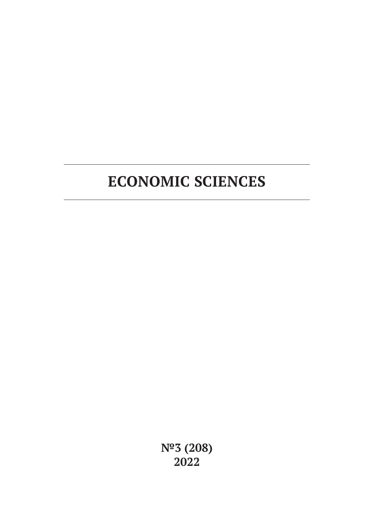# **ECONOMIC SCIENCES**

**№3 (208) 2022**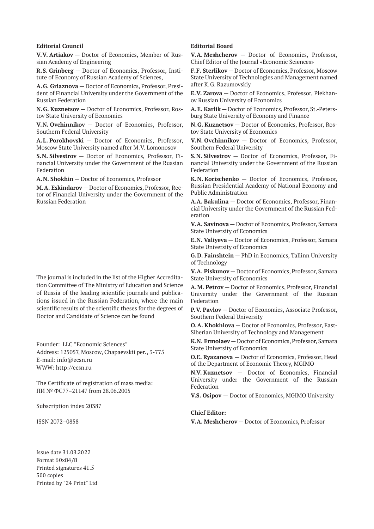#### **Editorial Council**

**V.V. Artiakov** — Doctor of Economics, Member of Russian Academy of Engineering

**R.S. Grinberg** — Doctor of Economics, Professor, Institute of Economy of Russian Academy of Sciences,

**A.G. Griaznova** — Doctor of Economics, Professor, President of Financial University under the Government of the Russian Federation

**N.G. Kuznetsov** — Doctor of Economics, Professor, Rostov State University of Economics

**V.N. Ovchinnikov** — Doctor of Economics, Professor, Southern Federal University

**A.L. Porokhovski** — Doctor of Economics, Professor, Moscow State University named after M.V. Lomonosov

**S.N. Silvestrov** — Doctor of Economics, Professor, Financial University under the Government of the Russian Federation

**A.N. Shokhin** — Doctor of Economics, Professor

**M.A. Eskindarov** — Doctor of Economics, Professor, Rector of Financial University under the Government of the Russian Federation

The journal is included in the list of the Higher Accreditation Committee of The Ministry of Education and Science of Russia of the leading scientific journals and publications issued in the Russian Federation, where the main scientific results of the scientific theses for the degrees of Doctor and Candidate of Science can be found

Founder: LLC "Economic Sciences" Address: 125057, Moscow, Chapaevskii per., 3-775 E-mail: info@ecsn.ru WWW: http://ecsn.ru

The Certificate of registration of mass media: ПИ № ФС77–21147 from 28.06.2005

Subscription index 20387

ISSN 2072–0858

#### **Editorial Board**

**V.A. Meshcherov** — Doctor of Economics, Professor, Chief Editor of the Journal «Economic Sciences»

**F.F. Sterlikov** — Doctor of Economics, Professor, Moscow State University of Technologies and Management named after K.G. Razumovskiy

**E.V. Zarova** — Doctor of Economics, Professor, Plekhanov Russian University of Economics

**A.E. Karlik** — Doctor of Economics, Professor, St.-Petersburg State University of Economy and Finance

**N.G. Kuznetsov** — Doctor of Economics, Professor, Rostov State University of Economics

**V.N. Ovchinnikov** — Doctor of Economics, Professor, Southern Federal University

**S.N. Silvestrov** — Doctor of Economics, Professor, Financial University under the Government of the Russian Federation

**K.N. Korischenko** — Doctor of Economics, Professor, Russian Presidential Academy of National Economy and Public Administration

**A.A. Bakulina** — Doctor of Economics, Professor, Financial University under the Government of the Russian Federation

**V.A. Savinova** — Doctor of Economics, Professor, Samara State University of Economics

**E.N. Valiyeva** — Doctor of Economics, Professor, Samara State University of Economics

**G.D. Fainshtein** — PhD in Economics, Tallinn University of Technology

**V.A. Piskunov** — Doctor of Economics, Professor, Samara State University of Economics

**A.M. Petrov** — Doctor of Economics, Professor, Financial University under the Government of the Russian Federation

**P.V. Pavlov** — Doctor of Economics, Associate Professor, Southern Federal University

**O.A. Khokhlova** — Doctor of Economics, Professor, East-Siberian University of Technology and Management

**K.N. Ermolaev** — Doctor of Economics, Professor, Samara State University of Economics

**O.E. Ryazanova** — Doctor of Economics, Professor, Head of the Department of Economic Theory, MGIMO

**N.V. Kuznetsov** — Doctor of Economics, Financial University under the Government of the Russian Federation

**V.S. Osipov** — Doctor of Economics, MGIMO University

#### **Chief Editor:**

**V.A. Meshcherov** — Doctor of Economics, Professor

Issue date 31.03.2022 Format 60х84/8 Printed signatures 41.5 500 copies Printed by "24 Print" Ltd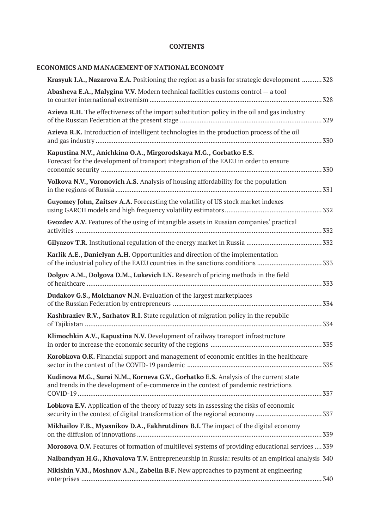### **CONTENTS**

# **ECONOMICS AND MANAGEMENT OF NATIONAL ECONOMY**

| Krasyuk I.A., Nazarova E.A. Positioning the region as a basis for strategic development  328                                                                                |
|-----------------------------------------------------------------------------------------------------------------------------------------------------------------------------|
| Abasheva E.A., Malygina V.V. Modern technical facilities customs control - a tool                                                                                           |
| Azieva R.H. The effectiveness of the import substitution policy in the oil and gas industry                                                                                 |
| Azieva R.K. Introduction of intelligent technologies in the production process of the oil                                                                                   |
| Kapustina N.V., Anichkina O.A., Mirgorodskaya M.G., Gorbatko E.S.<br>Forecast for the development of transport integration of the EAEU in order to ensure                   |
| Volkova N.V., Voronovich A.S. Analysis of housing affordability for the population                                                                                          |
| Guyomey John, Zaitsev A.A. Forecasting the volatility of US stock market indexes                                                                                            |
| Gvozdev A.V. Features of the using of intangible assets in Russian companies' practical                                                                                     |
|                                                                                                                                                                             |
| Karlik A.E., Danielyan A.H. Opportunities and direction of the implementation<br>of the industrial policy of the EAEU countries in the sanctions conditions  333            |
| Dolgov A.M., Dolgova D.M., Lukevich I.N. Research of pricing methods in the field                                                                                           |
| Dudakov G.S., Molchanov N.N. Evaluation of the largest marketplaces                                                                                                         |
| Kashbraziev R.V., Sarhatov R.I. State regulation of migration policy in the republic                                                                                        |
| Klimochkin A.V., Kapustina N.V. Development of railway transport infrastructure                                                                                             |
| Korobkova O.K. Financial support and management of economic entities in the healthcare                                                                                      |
| Kudinova M.G., Surai N.M., Korneva G.V., Gorbatko E.S. Analysis of the current state<br>and trends in the development of e-commerce in the context of pandemic restrictions |
| Lobkova E.V. Application of the theory of fuzzy sets in assessing the risks of economic                                                                                     |
| Mikhailov F.B., Myasnikov D.A., Fakhrutdinov B.I. The impact of the digital economy                                                                                         |
| Morozova O.V. Features of formation of multilevel systems of providing educational services  339                                                                            |
| Nalbandyan H.G., Khovalova T.V. Entrepreneurship in Russia: results of an empirical analysis 340                                                                            |
| Nikishin V.M., Moshnov A.N., Zabelin B.F. New approaches to payment at engineering                                                                                          |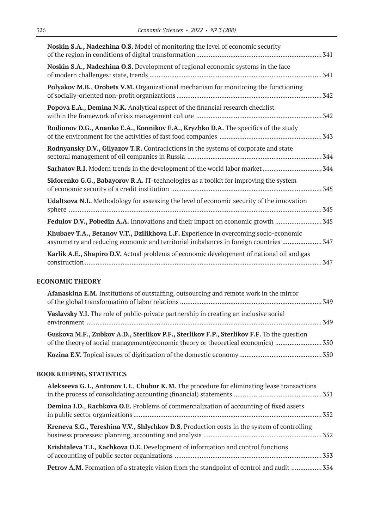| 341                                                                                  |
|--------------------------------------------------------------------------------------|
| 341                                                                                  |
| 342                                                                                  |
| 342                                                                                  |
|                                                                                      |
| 344                                                                                  |
|                                                                                      |
| 345                                                                                  |
| 345                                                                                  |
| Fedulov D.V., Pobedin A.A. Innovations and their impact on economic growth           |
| asymmetry and reducing economic and territorial imbalances in foreign countries  347 |
| 347                                                                                  |
|                                                                                      |

### **ECONOMIC THEORY**

| <b>Afanaskina E.M.</b> Institutions of outstaffing, outsourcing and remote work in the mirror |  |
|-----------------------------------------------------------------------------------------------|--|
| <b>Vaslavsky Y.I.</b> The role of public-private partnership in creating an inclusive social  |  |
| Guskova M.F., Zubkov A.D., Sterlikov P.F., Sterlikov F.P., Sterlikov F.F. To the question     |  |
|                                                                                               |  |

# **BOOK KEEPING, STATISTICS**

| Alekseeva G.I., Antonov I.I., Chubur K.M. The procedure for eliminating lease transactions       |  |
|--------------------------------------------------------------------------------------------------|--|
| <b>Demina I.D., Kachkova O.E.</b> Problems of commercialization of accounting of fixed assets    |  |
| Kreneva S.G., Tereshina V.V., Shlychkov D.S. Production costs in the system of controlling       |  |
| Krishtaleva T.I., Kachkova O.E. Development of information and control functions                 |  |
| <b>Petrov A.M.</b> Formation of a strategic vision from the standpoint of control and audit  354 |  |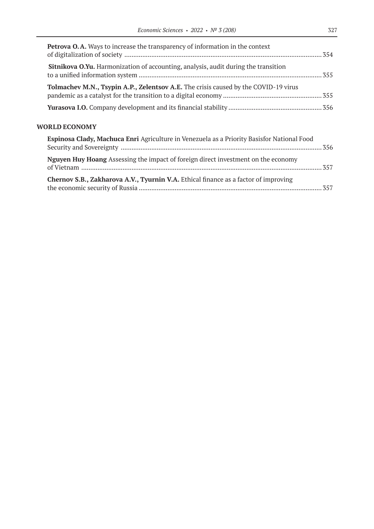| <b>Petrova O.A.</b> Ways to increase the transparency of information in the context       |  |
|-------------------------------------------------------------------------------------------|--|
| <b>Sitnikova O.Yu.</b> Harmonization of accounting, analysis, audit during the transition |  |
| Tolmachev M.N., Tsypin A.P., Zelentsov A.E. The crisis caused by the COVID-19 virus       |  |
|                                                                                           |  |

### **WORLD ECONOMY**

| Espinosa Clady, Machuca Enri Agriculture in Venezuela as a Priority Basisfor National Food |  |
|--------------------------------------------------------------------------------------------|--|
|                                                                                            |  |
| <b>Nguyen Huy Hoang</b> Assessing the impact of foreign direct investment on the economy   |  |
| Chernov S.B., Zakharova A.V., Tyurnin V.A. Ethical finance as a factor of improving        |  |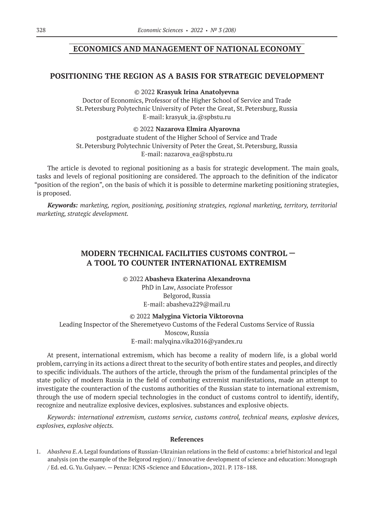### **ECONOMICS AND MANAGEMENT OF NATIONAL ECONOMY**

### **POSITIONING THE REGION AS A BASIS FOR STRATEGIC DEVELOPMENT**

#### © 2022 **Krasyuk Irina Anatolyevna**

Doctor of Economics, Professor of the Higher School of Service and Trade St.Petersburg Polytechnic University of Peter the Great, St.Petersburg, Russia E-mail: krasyuk\_ia.@spbstu.ru

#### © 2022 **Nazarova Elmira Alyarovna**

postgraduate student of the Higher School of Service and Trade St.Petersburg Polytechnic University of Peter the Great, St.Petersburg, Russia E-mail: nazarova\_ea@spbstu.ru

The article is devoted to regional positioning as a basis for strategic development. The main goals, tasks and levels of regional positioning are considered. The approach to the definition of the indicator "position of the region", on the basis of which it is possible to determine marketing positioning strategies, is proposed.

*Keywords: marketing, region, positioning, positioning strategies, regional marketing, territory, territorial marketing, strategic development.*

# **MODERN TECHNICAL FACILITIES CUSTOMS CONTROL — A TOOL TO COUNTER INTERNATIONAL EXTREMISM**

© 2022 **Abasheva Ekaterina Alexandrovna** PhD in Law, Associate Professor Belgorod, Russia E-mail: abasheva229@mail.ru

© 2022 **Malygina Victoria Viktorovna**

Leading Inspector of the Sheremetyevo Customs of the Federal Customs Service of Russia Moscow, Russia E-mail: malyqina.vika2016@yandex.ru

At present, international extremism, which has become a reality of modern life, is a global world problem, carrying in its actions a direct threat to the security of both entire states and peoples, and directly to specific individuals. The authors of the article, through the prism of the fundamental principles of the state policy of modern Russia in the field of combating extremist manifestations, made an attempt to investigate the counteraction of the customs authorities of the Russian state to international extremism, through the use of modern special technologies in the conduct of customs control to identify, identify, recognize and neutralize explosive devices, explosives. substances and explosive objects.

*Keywords: international extremism, customs service, customs control, technical means, explosive devices, explosives, explosive objects.*

#### **References**

1. *Abasheva E.A.*Legal foundations of Russian-Ukrainian relations in the field of customs: a brief historical and legal analysis (on the example of the Belgorod region) // Innovative development of science and education: Monograph / Ed. ed. G.Yu.Gulyaev. — Penza: ICNS «Science and Education», 2021. P. 178–188.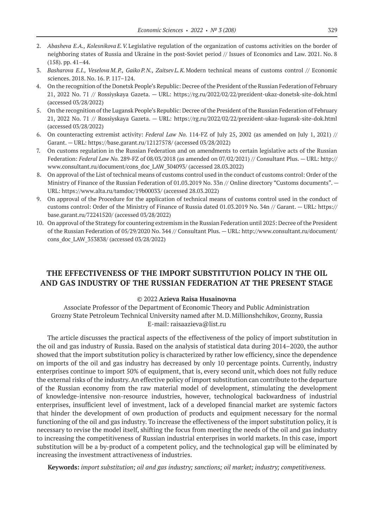- 2. *Abasheva E.A., Kolesnikova E.V.*Legislative regulation of the organization of customs activities on the border of neighboring states of Russia and Ukraine in the post-Soviet period // Issues of Economics and Law. 2021. No. 8 (158). pp. 41–44.
- 3. *Basharova E.I., Veselova M.P., Gaiko P.N., Zaitsev L.K.*Modern technical means of customs control // Economic sciences. 2018. No. 16. P. 117–124.
- 4. On the recognition of the Donetsk People's Republic: Decree of the President of the Russian Federation of February 21, 2022 No. 71 // Rossiyskaya Gazeta. — URL: https://rg.ru/2022/02/22/prezident-ukaz-donetsk-site-dok.html (accessed 03/28/2022)
- 5. On the recognition of the Lugansk People's Republic: Decree of the President of the Russian Federation of February 21, 2022 No. 71 // Rossiyskaya Gazeta. — URL: https://rg.ru/2022/02/22/prezident-ukaz-lugansk-site-dok.html (accessed 03/28/2022)
- 6. On counteracting extremist activity: *Federal Law No.* 114-FZ of July 25, 2002 (as amended on July 1, 2021) // Garant. — URL: https://base.garant.ru/12127578/ (accessed 03/28/2022)
- 7. On customs regulation in the Russian Federation and on amendments to certain legislative acts of the Russian Federation: *Federal Law No.* 289-FZ of 08/03/2018 (as amended on 07/02/2021) // Consultant Plus. — URL: http:// www.consultant.ru/document/cons\_doc\_LAW\_304093/ (accessed 28.03.2022)
- 8. On approval of the List of technical means of customs control used in the conduct of customs control: Order of the Ministry of Finance of the Russian Federation of 01.03.2019 No. 33n // Online directory "Customs documents".  $-$ URL: https://www.alta.ru/tamdoc/19b00033/ (accessed 28.03.2022)
- 9. On approval of the Procedure for the application of technical means of customs control used in the conduct of customs control: Order of the Ministry of Finance of Russia dated 01.03.2019 No. 34n // Garant. — URL: https:// base.garant.ru/72241520/ (accessed 03/28/2022)
- 10. On approval of the Strategy for countering extremism in the Russian Federation until 2025: Decree of the President of the Russian Federation of 05/29/2020 No. 344 // Consultant Plus. — URL: http://www.consultant.ru/document/ cons\_doc\_LAW\_353838/ (accessed 03/28/2022)

### **THE EFFECTIVENESS OF THE IMPORT SUBSTITUTION POLICY IN THE OIL AND GAS INDUSTRY OF THE RUSSIAN FEDERATION AT THE PRESENT STAGE**

#### © 2022 **Azieva Raisa Husainovna**

Associate Professor of the Department of Economic Theory and Public Administration Grozny State Petroleum Technical University named after M.D.Millionshchikov, Grozny, Russia E-mail: raisaazieva@list.ru

The article discusses the practical aspects of the effectiveness of the policy of import substitution in the oil and gas industry of Russia. Based on the analysis of statistical data during 2014–2020, the author showed that the import substitution policy is characterized by rather low efficiency, since the dependence on imports of the oil and gas industry has decreased by only 10 percentage points. Currently, industry enterprises continue to import 50% of equipment, that is, every second unit, which does not fully reduce the external risks of the industry. An effective policy of import substitution can contribute to the departure of the Russian economy from the raw material model of development, stimulating the development of knowledge-intensive non-resource industries, however, technological backwardness of industrial enterprises, insufficient level of investment, lack of a developed financial market are systemic factors that hinder the development of own production of products and equipment necessary for the normal functioning of the oil and gas industry. To increase the effectiveness of the import substitution policy, it is necessary to revise the model itself, shifting the focus from meeting the needs of the oil and gas industry to increasing the competitiveness of Russian industrial enterprises in world markets. In this case, import substitution will be a by-product of a competent policy, and the technological gap will be eliminated by increasing the investment attractiveness of industries.

**Keywords:** *import substitution; oil and gas industry; sanctions; oil market; industry; competitiveness.*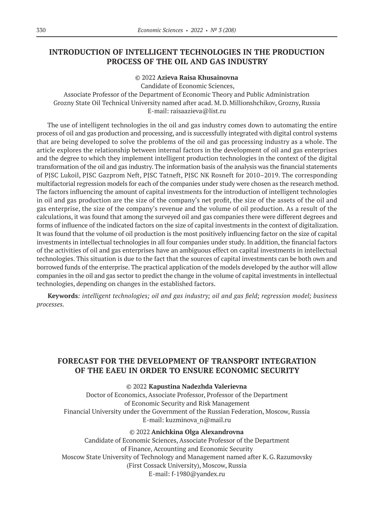# **INTRODUCTION OF INTELLIGENT TECHNOLOGIES IN THE PRODUCTION PROCESS OF THE OIL AND GAS INDUSTRY**

#### © 2022 **Azieva Raisa Khusainovna**

Candidate of Economic Sciences, Associate Professor of the Department of Economic Theory and Public Administration Grozny State Oil Technical University named after acad. M.D.Millionshchikov, Grozny, Russia E-mail: raisaazieva@list.ru

The use of intelligent technologies in the oil and gas industry comes down to automating the entire process of oil and gas production and processing, and is successfully integrated with digital control systems that are being developed to solve the problems of the oil and gas processing industry as a whole. The article explores the relationship between internal factors in the development of oil and gas enterprises and the degree to which they implement intelligent production technologies in the context of the digital transformation of the oil and gas industry. The information basis of the analysis was the financial statements of PJSC Lukoil, PJSC Gazprom Neft, PJSC Tatneft, PJSC NK Rosneft for 2010–2019. The corresponding multifactorial regression models for each of the companies under study were chosen as the research method. The factors influencing the amount of capital investments for the introduction of intelligent technologies in oil and gas production are the size of the company's net profit, the size of the assets of the oil and gas enterprise, the size of the company's revenue and the volume of oil production. As a result of the calculations, it was found that among the surveyed oil and gas companies there were different degrees and forms of influence of the indicated factors on the size of capital investments in the context of digitalization. It was found that the volume of oil production is the most positively influencing factor on the size of capital investments in intellectual technologies in all four companies under study. In addition, the financial factors of the activities of oil and gas enterprises have an ambiguous effect on capital investments in intellectual technologies. This situation is due to the fact that the sources of capital investments can be both own and borrowed funds of the enterprise. The practical application of the models developed by the author will allow companies in the oil and gas sector to predict the change in the volume of capital investments in intellectual technologies, depending on changes in the established factors.

**Keywords***: intelligent technologies; oil and gas industry; oil and gas field; regression model; business processes.*

# **FORECAST FOR THE DEVELOPMENT OF TRANSPORT INTEGRATION OF THE EAEU IN ORDER TO ENSURE ECONOMIC SECURITY**

#### © 2022 **Kapustina Nadezhda Valerievna**

Doctor of Economics, Associate Professor, Professor of the Department of Economic Security and Risk Management Financial University under the Government of the Russian Federation, Moscow, Russia E-mail: kuzminova\_n@mail.ru

#### © 2022 **Anichkina Olga Alexandrovna**

Candidate of Economic Sciences, Associate Professor of the Department of Finance, Accounting and Economic Security Moscow State University of Technology and Management named after K.G.Razumovsky (First Cossack University), Moscow, Russia E-mail: f‑1980@yandex.ru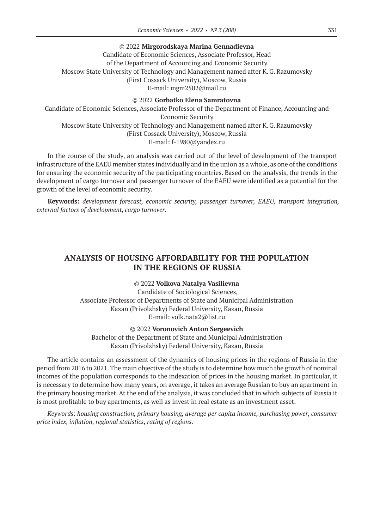#### © 2022 **Mirgorodskaya Marina Gennadievna**

Candidate of Economic Sciences, Associate Professor, Head of the Department of Accounting and Economic Security Moscow State University of Technology and Management named after K.G.Razumovsky (First Cossack University), Moscow, Russia E-mail: mgm2502@mail.ru

#### © 2022 **Gorbatko Elena Samratovna**

Candidate of Economic Sciences, Associate Professor of the Department of Finance, Accounting and Economic Security Moscow State University of Technology and Management named after K.G.Razumovsky (First Cossack University), Moscow, Russia Е-mail: f‑1980@yandex.ru

In the course of the study, an analysis was carried out of the level of development of the transport infrastructure of the EAEU member states individually and in the union as a whole, as one of the conditions for ensuring the economic security of the participating countries. Based on the analysis, the trends in the development of cargo turnover and passenger turnover of the EAEU were identified as a potential for the growth of the level of economic security.

**Keywords:** *development forecast, economic security, passenger turnover, EAEU, transport integration, external factors of development, cargo turnover.*

### **ANALYSIS OF HOUSING AFFORDABILITY FOR THE POPULATION IN THE REGIONS OF RUSSIA**

#### © 2022 **Volkova Natalya Vasilievna**

Candidate of Sociological Sciences, Associate Professor of Departments of State and Municipal Administration Kazan (Privolzhsky) Federal University, Kazan, Russia E-mail: volk.nata2@list.ru

#### © 2022 **Voronovich Anton Sergeevich**

Bachelor of the Department of State and Municipal Administration Kazan (Privolzhsky) Federal University, Kazan, Russia

The article contains an assessment of the dynamics of housing prices in the regions of Russia in the period from 2016 to 2021. The main objective of the study is to determine how much the growth of nominal incomes of the population corresponds to the indexation of prices in the housing market. In particular, it is necessary to determine how many years, on average, it takes an average Russian to buy an apartment in the primary housing market. At the end of the analysis, it was concluded that in which subjects of Russia it is most profitable to buy apartments, as well as invest in real estate as an investment asset.

*Keywords: housing construction, primary housing, average per capita income, purchasing power, consumer price index, inflation, regional statistics, rating of regions.*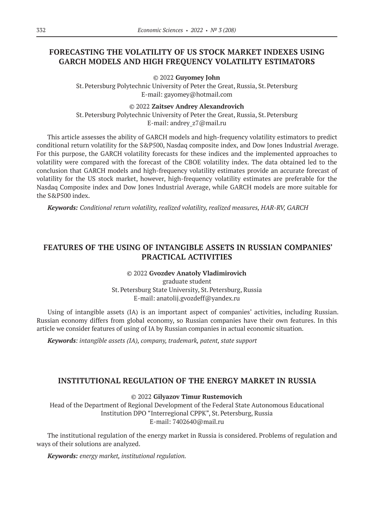# **FORECASTING THE VOLATILITY OF US STOCK MARKET INDEXES USING GARCH MODELS AND HIGH FREQUENCY VOLATILITY ESTIMATORS**

© 2022 **Guyomey John**

St.Petersburg Polytechnic University of Peter the Great, Russia, St.Petersburg E-mail: gayomey@hotmail.com

#### © 2022 **Zaitsev Andrey Alexandrovich**

St.Petersburg Polytechnic University of Peter the Great, Russia, St.Petersburg Е-mail: andrey\_z7@mail.ru

This article assesses the ability of GARCH models and high-frequency volatility estimators to predict conditional return volatility for the S&P500, Nasdaq composite index, and Dow Jones Industrial Average. For this purpose, the GARCH volatility forecasts for these indices and the implemented approaches to volatility were compared with the forecast of the CBOE volatility index. The data obtained led to the conclusion that GARCH models and high-frequency volatility estimates provide an accurate forecast of volatility for the US stock market, however, high-frequency volatility estimates are preferable for the Nasdaq Composite index and Dow Jones Industrial Average, while GARCH models are more suitable for the S&P500 index.

*Keywords: Conditional return volatility, realized volatility, realized measures, HAR-RV, GARCH*

# **FEATURES OF THE USING OF INTANGIBLE ASSETS IN RUSSIAN COMPANIES' PRACTICAL ACTIVITIES**

### © 2022 **Gvozdev Anatoly Vladimirovich**

graduate student St.Petersburg State University, St.Petersburg, Russia E-mail: anatolij.gvozdeff@yandex.ru

Using of intangible assets (IA) is an important aspect of companies' activities, including Russian. Russian economy differs from global economy, so Russian companies have their own features. In this article we consider features of using of IA by Russian companies in actual economic situation.

*Keywords: intangible assets (IA), company, trademark, patent, state support*

### **INSTITUTIONAL REGULATION OF THE ENERGY MARKET IN RUSSIA**

### © 2022 **Gilyazov Timur Rustemovich**

Head of the Department of Regional Development of the Federal State Autonomous Educational Institution DPO "Interregional CPPK", St.Petersburg, Russia E-mail: 7402640@mail.ru

The institutional regulation of the energy market in Russia is considered. Problems of regulation and ways of their solutions are analyzed.

*Keywords: energy market, institutional regulation.*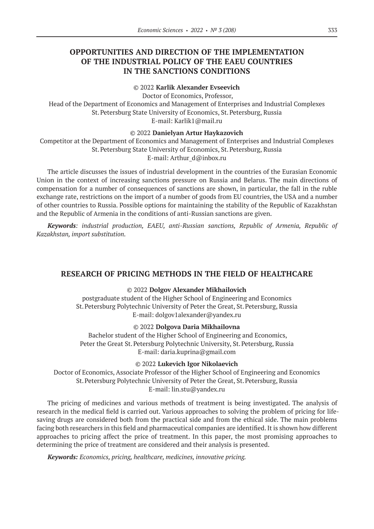# **OPPORTUNITIES AND DIRECTION OF THE IMPLEMENTATION OF THE INDUSTRIAL POLICY OF THE EAEU COUNTRIES IN THE SANCTIONS CONDITIONS**

### © 2022 **Karlik Alexander Evseevich**

Doctor of Economics, Professor,

Head of the Department of Economics and Management of Enterprises and Industrial Complexes St.Petersburg State University of Economics, St.Petersburg, Russia E-mail: Karlik1@mail.ru

### © 2022 **Danielyan Artur Haykazovich**

Competitor at the Department of Economics and Management of Enterprises and Industrial Complexes St.Petersburg State University of Economics, St.Petersburg, Russia E-mail: Arthur d@inbox.ru

The article discusses the issues of industrial development in the countries of the Eurasian Economic Union in the context of increasing sanctions pressure on Russia and Belarus. The main directions of compensation for a number of consequences of sanctions are shown, in particular, the fall in the ruble exchange rate, restrictions on the import of a number of goods from EU countries, the USA and a number of other countries to Russia. Possible options for maintaining the stability of the Republic of Kazakhstan and the Republic of Armenia in the conditions of anti-Russian sanctions are given.

*Keywords: industrial production, EAEU, anti-Russian sanctions, Republic of Armenia, Republic of Kazakhstan, import substitution.*

### **RESEARCH OF PRICING METHODS IN THE FIELD OF HEALTHCARE**

#### © 2022 **Dolgov Alexander Mikhailovich**

postgraduate student of the Higher School of Engineering and Economics St.Petersburg Polytechnic University of Peter the Great, St.Petersburg, Russia E-mail: dolgov1alexander@yandex.ru

#### © 2022 **Dolgova Daria Mikhailovna**

Bachelor student of the Higher School of Engineering and Economics, Peter the Great St. Petersburg Polytechnic University, St. Petersburg, Russia E-mail: daria.kuprina@gmail.com

#### © 2022 **Lukevich Igor Nikolaevich**

Doctor of Economics, Associate Professor of the Higher School of Engineering and Economics St.Petersburg Polytechnic University of Peter the Great, St.Petersburg, Russia E-mail: lin.stu@yandex.ru

The pricing of medicines and various methods of treatment is being investigated. The analysis of research in the medical field is carried out. Various approaches to solving the problem of pricing for lifesaving drugs are considered both from the practical side and from the ethical side. The main problems facing both researchers in this field and pharmaceutical companies are identified. It is shown how different approaches to pricing affect the price of treatment. In this paper, the most promising approaches to determining the price of treatment are considered and their analysis is presented.

*Keywords: Economics, pricing, healthcare, medicines, innovative pricing.*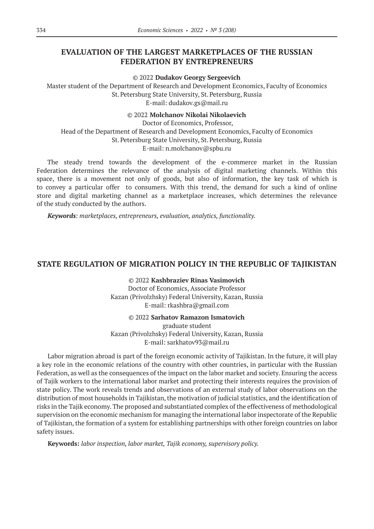# **EVALUATION OF THE LARGEST MARKETPLACES OF THE RUSSIAN FEDERATION BY ENTREPRENEURS**

© 2022 **Dudakov Georgy Sergeevich**

Master student of the Department of Research and Development Economics, Faculty of Economics St.Petersburg State University, St.Petersburg, Russia E-mail: dudakov.gs@mail.ru

© 2022 **Molchanov Nikolai Nikolaevich**

Doctor of Economics, Professor, Head of the Department of Research and Development Economics, Faculty of Economics St.Petersburg State University, St.Petersburg, Russia E-mail: n.molchanov@spbu.ru

The steady trend towards the development of the e-commerce market in the Russian Federation determines the relevance of the analysis of digital marketing channels. Within this space, there is a movement not only of goods, but also of information, the key task of which is to convey a particular offer to consumers. With this trend, the demand for such a kind of online store and digital marketing channel as a marketplace increases, which determines the relevance of the study conducted by the authors.

*Keywords: marketplaces, entrepreneurs, evaluation, analytics, functionality.*

### **STATE REGULATION OF MIGRATION POLICY IN THE REPUBLIC OF TAJIKISTAN**

© 2022 **Kashbraziev Rinas Vasimovich** Doctor of Economics, Associate Professor Kazan (Privolzhsky) Federal University, Kazan, Russia E-mail: rkashbra@gmail.com

© 2022 **Sarhatov Ramazon Ismatovich**

graduate student Kazan (Privolzhsky) Federal University, Kazan, Russia E-mail: sarkhatov93@mail.ru

Labor migration abroad is part of the foreign economic activity of Tajikistan. In the future, it will play a key role in the economic relations of the country with other countries, in particular with the Russian Federation, as well as the consequences of the impact on the labor market and society. Ensuring the access of Tajik workers to the international labor market and protecting their interests requires the provision of state policy. The work reveals trends and observations of an external study of labor observations on the distribution of most households in Tajikistan, the motivation of judicial statistics, and the identification of risks in the Tajik economy. The proposed and substantiated complex of the effectiveness of methodological supervision on the economic mechanism for managing the international labor inspectorate of the Republic of Tajikistan, the formation of a system for establishing partnerships with other foreign countries on labor safety issues.

**Keywords:** *labor inspection, labor market, Tajik economy, supervisory policy.*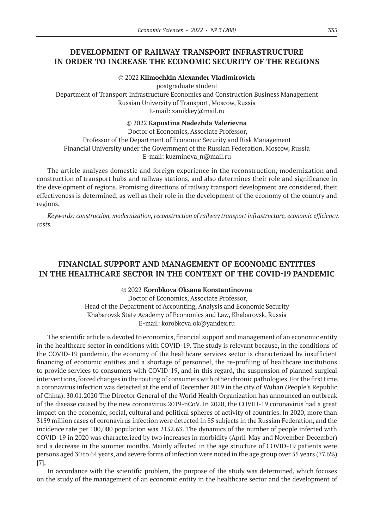# **DEVELOPMENT OF RAILWAY TRANSPORT INFRASTRUCTURE IN ORDER TO INCREASE THE ECONOMIC SECURITY OF THE REGIONS**

© 2022 **Klimochkin Alexander Vladimirovich**

postgraduate student Department of Transport Infrastructure Economics and Construction Business Management Russian University of Transport, Moscow, Russia E-mail: xanikkey@mail.ru

#### © 2022 **Kapustina Nadezhda Valerievna**

Doctor of Economics, Associate Professor, Professor of the Department of Economic Security and Risk Management Financial University under the Government of the Russian Federation, Moscow, Russia E-mail: kuzminova\_n@mail.ru

The article analyzes domestic and foreign experience in the reconstruction, modernization and construction of transport hubs and railway stations, and also determines their role and significance in the development of regions. Promising directions of railway transport development are considered, their effectiveness is determined, as well as their role in the development of the economy of the country and regions.

*Keywords: сonstruction, modernization, reconstruction of railway transport infrastructure, economic efficiency, costs.*

# **FINANCIAL SUPPORT AND MANAGEMENT OF ECONOMIC ENTITIES IN THE HEALTHCARE SECTOR IN THE CONTEXT OF THE COVID‑19 PANDEMIC**

© 2022 **Korobkova Oksana Konstantinovna**

Doctor of Economics, Associate Professor, Head of the Department of Accounting, Analysis and Economic Security Khabarovsk State Academy of Economics and Law, Khabarovsk, Russia Е-mail: korobkova.ok@yandex.ru

The scientific article is devoted to economics, financial support and management of an economic entity in the healthcare sector in conditions with COVID-19. The study is relevant because, in the conditions of the COVID‑19 pandemic, the economy of the healthcare services sector is characterized by insufficient financing of economic entities and a shortage of personnel, the re-profiling of healthcare institutions to provide services to consumers with COVID‑19, and in this regard, the suspension of planned surgical interventions, forced changes in the routing of consumers with other chronic pathologies. For the first time, a coronavirus infection was detected at the end of December 2019 in the city of Wuhan (People's Republic of China). 30.01.2020 The Director General of the World Health Organization has announced an outbreak of the disease caused by the new coronavirus 2019‑nCoV. In 2020, the COVID‑19 coronavirus had a great impact on the economic, social, cultural and political spheres of activity of countries. In 2020, more than 3159 million cases of coronavirus infection were detected in 85 subjects in the Russian Federation, and the incidence rate per 100,000 population was 2152.63. The dynamics of the number of people infected with COVID‑19 in 2020 was characterized by two increases in morbidity (April-May and November-December) and a decrease in the summer months. Mainly affected in the age structure of COVID-19 patients were persons aged 30 to 64 years, and severe forms of infection were noted in the age group over 55 years (77.6%) [7].

In accordance with the scientific problem, the purpose of the study was determined, which focuses on the study of the management of an economic entity in the healthcare sector and the development of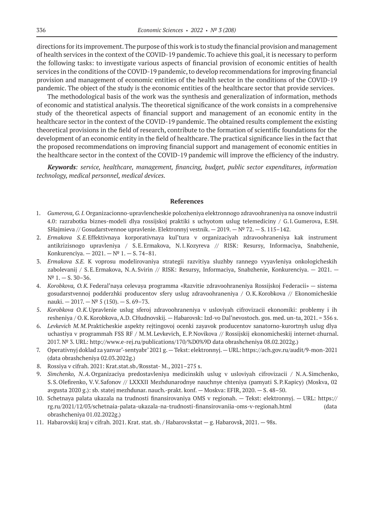directions for its improvement. The purpose of this work is to study the financial provision and management of health services in the context of the COVID‑19 pandemic. To achieve this goal, it is necessary to perform the following tasks: to investigate various aspects of financial provision of economic entities of health services in the conditions of the COVID-19 pandemic, to develop recommendations for improving financial provision and management of economic entities of the health sector in the conditions of the COVID-19 pandemic. The object of the study is the economic entities of the healthcare sector that provide services.

The methodological basis of the work was the synthesis and generalization of information, methods of economic and statistical analysis. The theoretical significance of the work consists in a comprehensive study of the theoretical aspects of financial support and management of an economic entity in the healthcare sector in the context of the COVID-19 pandemic. The obtained results complement the existing theoretical provisions in the field of research, contribute to the formation of scientific foundations for the development of an economic entity in the field of healthcare. The practical significance lies in the fact that the proposed recommendations on improving financial support and management of economic entities in the healthcare sector in the context of the COVID-19 pandemic will improve the efficiency of the industry.

*Keywords: service, healthcare, management, financing, budget, public sector expenditures, information technology, medical personnel, medical devices.*

#### **References**

- 1. *Gumerova, G.I.* Organizacionno-upravlencheskie polozheniya elektronnogo zdravoohraneniya na osnove industrii 4.0: razrabotka biznes-modeli dlya rossijskoj praktiki s uchyotom uslug telemediciny / G.I.Gumerova, E.SH. SHajmieva // Gosudarstvennoe upravlenie. Elektronnyj vestnik. — 2019. —№ 72. — S. 115–142.
- 2. *Ermakova S.E.*Effektivnaya korporativnaya kul'tura v organizaciyah zdravoohraneniya kak instrument antikrizisnogo upravleniya / S.E.Ermakova, N.I.Kozyreva // RISK: Resursy, Informaciya, Snabzhenie, Konkurenciya. — 2021. —№ 1. — S. 74–81.
- 3. *Ermakova S.E.* K voprosu modelirovaniya strategii razvitiya sluzhby rannego vyyavleniya onkologicheskih zabolevanij / S.E.Ermakova, N.A.Svirin // RISK: Resursy, Informaciya, Snabzhenie, Konkurenciya. — 2021. —  $N^{\circ}$  1. – S. 30–36.
- 4. *Korobkova, O.K.* Federal'naya celevaya programma «Razvitie zdravoohraneniya Rossijskoj Federacii» sistema gosudarstvennoj podderzhki producentov sfery uslug zdravoohraneniya / O.K.Korobkova // Ekonomicheskie nauki.  $-2017. - N^{\circ} 5 (150)$ .  $- S. 69 - 73$ .
- 5. *Korobkova O.K.*Upravlenie uslug sferoj zdravoohraneniya v usloviyah cifrovizacii ekonomiki: problemy i ih resheniya / O.K.Korobkova, A.D. CHudnovskij. — Habarovsk: Izd-vo Dal'nevostoch. gos. med. un-ta, 2021. = 356 s.
- 6. *Levkevich M.M.*Prakticheskie aspekty rejtingovoj ocenki zayavok producentov sanatorno-kurortnyh uslug dlya uchastiya v programmah FSS RF / M.M.Levkevich, E.P.Novikova // Rossijskij ekonomicheskij internet-zhurnal. 2017. № 3. URL: http://www.e-rej.ru/publications/170/%D0%9D data obrashcheniya 08.02.2022g.)
- 7. Operativnyj doklad za yanvar'-sentyabr' 2021 g.—Tekst: elektronnyj.—URL: https://ach.gov.ru/audit/9‑mon‑2021 (data obrashcheniya 02.03.2022g.)
- 8. Rossiya v cifrah. 2021: Krat.stat.sb./Rosstat- M., 2021–275 s.
- 9. *Simchenko, N.A*.Organizaciya predostavleniya medicinskih uslug v usloviyah cifrovizacii / N.A.Simchenko, S.S.Olefirenko, V.V.Safonov // LXXXII Mezhdunarodnye nauchnye chteniya (pamyati S.P.Kapicy) (Moskva, 02 avgusta 2020 g.): sb. statej mezhdunar. nauch.-prakt. konf. — Moskva: EFIR, 2020. — S. 48–50.
- 10. Schetnaya palata ukazala na trudnosti finansirovaniya OMS v regionah. Tekst: elektronnyj. URL: https:// rg.ru/2021/12/03/schetnaia-palata-ukazala-na-trudnosti-finansirovaniia-oms-v-regionah.html (data obrashcheniya 01.02.2022g.)
- 11. Habarovskij kraj v cifrah. 2021. Krat. stat. sb. / Habarovskstat g. Habarovsk, 2021. 98s.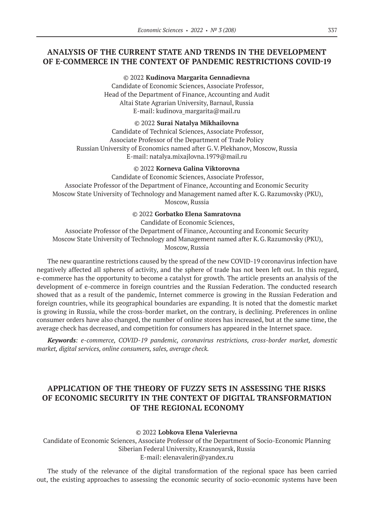# **ANALYSIS OF THE CURRENT STATE AND TRENDS IN THE DEVELOPMENT OF E-COMMERCE IN THE CONTEXT OF PANDEMIC RESTRICTIONS COVID‑19**

© 2022 **Kudinova Margarita Gennadievna** Candidate of Economic Sciences, Associate Professor, Head of the Department of Finance, Accounting and Audit Altai State Agrarian University, Barnaul, Russia E-mail: kudinova\_margarita@mail.ru

© 2022 **Surai Natalya Mikhailovna**

Candidate of Technical Sciences, Associate Professor, Associate Professor of the Department of Trade Policy Russian University of Economics named after G.V.Plekhanov, Moscow, Russia E-mail: natalya.mixajlovna.1979@mail.ru

#### © 2022 **Korneva Galina Viktorovna**

Candidate of Economic Sciences, Associate Professor, Associate Professor of the Department of Finance, Accounting and Economic Security Moscow State University of Technology and Management named after K.G.Razumovsky (PKU), Moscow, Russia

© 2022 **Gorbatko Elena Samratovna**

Candidate of Economic Sciences,

Associate Professor of the Department of Finance, Accounting and Economic Security Moscow State University of Technology and Management named after K.G.Razumovsky (PKU), Moscow, Russia

The new quarantine restrictions caused by the spread of the new COVID-19 coronavirus infection have negatively affected all spheres of activity, and the sphere of trade has not been left out. In this regard, e-commerce has the opportunity to become a catalyst for growth. The article presents an analysis of the development of e-commerce in foreign countries and the Russian Federation. The conducted research showed that as a result of the pandemic, Internet commerce is growing in the Russian Federation and foreign countries, while its geographical boundaries are expanding. It is noted that the domestic market is growing in Russia, while the cross-border market, on the contrary, is declining. Preferences in online consumer orders have also changed, the number of online stores has increased, but at the same time, the average check has decreased, and competition for consumers has appeared in the Internet space.

*Keywords: e-commerce, COVID-19 pandemic, coronavirus restrictions, cross-border market, domestic market, digital services, online consumers, sales, average check.*

# **APPLICATION OF THE THEORY OF FUZZY SETS IN ASSESSING THE RISKS OF ECONOMIC SECURITY IN THE CONTEXT OF DIGITAL TRANSFORMATION OF THE REGIONAL ECONOMY**

#### © 2022 **Lobkova Elena Valerievna**

Candidate of Economic Sciences, Associate Professor of the Department of Socio-Economic Planning Siberian Federal University, Krasnoyarsk, Russia E-mail: elenavalerin@yandex.ru

The study of the relevance of the digital transformation of the regional space has been carried out, the existing approaches to assessing the economic security of socio-economic systems have been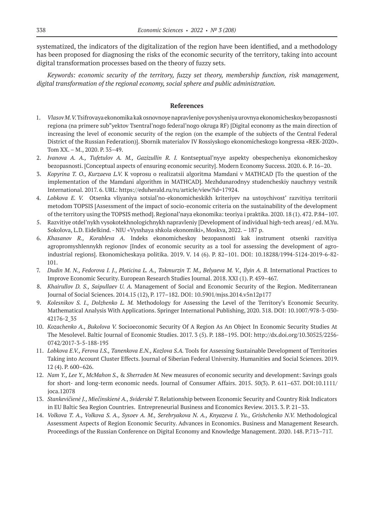systematized, the indicators of the digitalization of the region have been identified, and a methodology has been proposed for diagnosing the risks of the economic security of the territory, taking into account digital transformation processes based on the theory of fuzzy sets.

*Keywords: economic security of the territory, fuzzy set theory, membership function, risk management, digital transformation of the regional economy, social sphere and public administration.*

#### **References**

- 1. *Vlasov M. V.* Tsifrovaya ekonomika kak osnovnoye napravleniye povysheniya urovnya ekonomicheskoy bezopasnosti regiona (na primere sub"yektov Tsentral'nogo federal'nogo okruga RF) [Digital economy as the main direction of increasing the level of economic security of the region (on the example of the subjects of the Central Federal District of the Russian Federation)]. Sbornik materialov IV Rossiyskogo ekonomicheskogo kongressa «REK-2020». Tom XX. – M., 2020. P. 35–49.
- 2. *Ivanova A. A., Tufetulov A. M., Gazizullin R. I.* Kontseptual'nyye aspekty obespecheniya ekonomicheskoy bezopasnosti. [Conceptual aspects of ensuring economic security]. Modern Economy Success. 2020. 6. P. 16–20.
- 3. *Kopyrina T. O., Kurzaeva L.V.* K voprosu o realizatsii algoritma Mamdani v MATHCAD [To the question of the implementation of the Mamdani algorithm in MATHCAD]. Mezhdunarodnyy studencheskiy nauchnyy vestnik International. 2017. 6. URL: https://eduherald.ru/ru/article/view?id=17924.
- 4. *Lobkova E. V.* Otsenka vliyaniya sotsial'no-ekonomicheskikh kriteriyev na ustoychivost' razvitiya territorii metodom TOPSIS [Assessment of the impact of socio-economic criteria on the sustainability of the development of the territory using the TOPSIS method]. Regional'naya ekonomika: teoriya i praktika. 2020. 18 (1). 472. P.84–107.
- 5. Razvitiye otdel'nykh vysokotekhnologichnykh napravleniy [Development of individual high-tech areas] / ed. M.Yu. Sokolova, L.D. Eidelkind. - NIU «Vysshaya shkola ekonomiki», Moskva, 2022. – 187 p.
- 6. *Khasanov R., Korableva A.* Indeks ekonomicheskoy bezopasnosti kak instrument otsenki razvitiya agropromyshlennykh regionov [Index of economic security as a tool for assessing the development of agroindustrial regions]. Ekonomicheskaya politika. 2019. V. 14 (6). P. 82–101. DOI: 10.18288/1994-5124-2019-6-82- 101.
- 7. *Dudin M. N., Fedorova I. J., Ploticina L. A., Tokmurzin T. M., Belyaeva M. V., Ilyin A. B.* International Practices to Improve Economic Security. European Research Studies Journal. 2018. XXI (1). P. 459–467.
- 8. *Khairullov D. S., Saipullaev U. A.* Management of Social and Economic Security of the Region. Mediterranean Journal of Social Sciences. 2014.15 (12), P. 177–182. DOI: 10.5901/mjss.2014.v5n12p177
- 9. *Kolesnikov S. I., Dolzhenko L. M.* Methodology for Assessing the Level of the Territory's Economic Security. Mathematical Analysis With Applications. Springer International Publishing, 2020. 318. DOI: 10.1007/978-3-030- 42176-2\_35
- 10. *Kozachenko A., Bukolova V.* Socioeconomic Security Of A Region As An Object In Economic Security Studies At The Mesolevel. Baltic Journal of Economic Studies. 2017. 3 (5). P. 188–195. DOI: http://dx.doi.org/10.30525/2256- 0742/2017-3-5-188-195
- 11. *Lobkova E.V., Ferova I.S., Tanenkova E.N., Kozlova S.A.* Tools for Assessing Sustainable Development of Territories Taking into Account Cluster Effects. Journal of Siberian Federal University. Humanities and Social Sciences. 2019. 12 (4). P. 600–626.
- 12. *Nam Y., Lee Y., McMahon S.,* & *Sherraden M.* New measures of economic security and development: Savings goals for short- and long-term economic needs. Journal of Consumer Affairs. 2015. 50(3). P. 611–637. DOI:10.1111/ joca.12078
- 13. *Stankevičienė J., Miečinskienė А., Sviderskė Т.* Relationship between Economic Security and Country Risk Indicators in EU Baltic Sea Region Countries. Entrepreneurial Business and Economics Review. 2013. 3. P. 21–33.
- 14. *Volkova T. A., Volkova S. A., Sysoev A. M., Serebryakova N. A., Knyazeva I. Yu., Grishchenko N.V.* Methodological Assessment Aspects of Region Economic Security. Advances in Economics. Business and Management Research. Proceedings of the Russian Conference on Digital Economy and Knowledge Management. 2020. 148. P.713–717.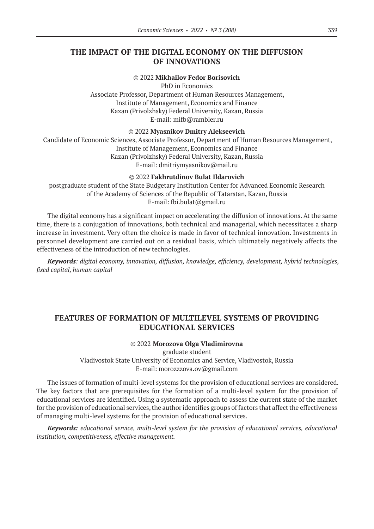### **THE IMPACT OF THE DIGITAL ECONOMY ON THE DIFFUSION OF INNOVATIONS**

© 2022 **Mikhailov Fedor Borisovich**

PhD in Economics Associate Professor, Department of Human Resources Management, Institute of Management, Economics and Finance Kazan (Privolzhsky) Federal University, Kazan, Russia E-mail: mifb@rambler.ru

© 2022 **Myasnikov Dmitry Alekseevich**

Candidate of Economic Sciences, Associate Professor, Department of Human Resources Management, Institute of Management, Economics and Finance Kazan (Privolzhsky) Federal University, Kazan, Russia E-mail: dmitriymyasnikov@mail.ru

© 2022 **Fakhrutdinov Bulat Ildarovich**

postgraduate student of the State Budgetary Institution Center for Advanced Economic Research of the Academy of Sciences of the Republic of Tatarstan, Kazan, Russia E-mail: fbi.bulat@gmail.ru

The digital economy has a significant impact on accelerating the diffusion of innovations. At the same time, there is a conjugation of innovations, both technical and managerial, which necessitates a sharp increase in investment. Very often the choice is made in favor of technical innovation. Investments in personnel development are carried out on a residual basis, which ultimately negatively affects the effectiveness of the introduction of new technologies.

*Keywords: digital economy, innovation, diffusion, knowledge, efficiency, development, hybrid technologies, fixed capital, human capital*

# **FEATURES OF FORMATION OF MULTILEVEL SYSTEMS OF PROVIDING EDUCATIONAL SERVICES**

### © 2022 **Morozova Olga Vladimirovna**

graduate student Vladivostok State University of Economics and Service, Vladivostok, Russia E-mail: morozzzova.ov@gmail.com

The issues of formation of multi-level systems for the provision of educational services are considered. The key factors that are prerequisites for the formation of a multi-level system for the provision of educational services are identified. Using a systematic approach to assess the current state of the market for the provision of educational services, the author identifies groups of factors that affect the effectiveness of managing multi-level systems for the provision of educational services.

*Keywords: educational service, multi-level system for the provision of educational services, educational institution, competitiveness, effective management.*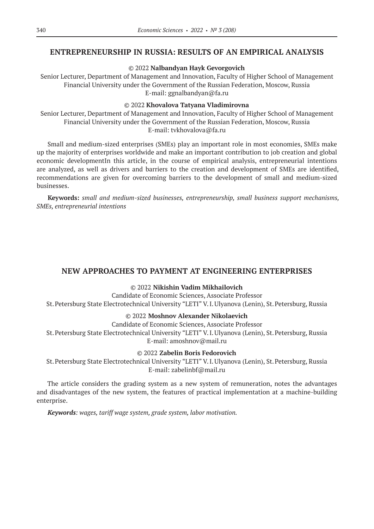### **ENTREPRENEURSHIP IN RUSSIA: RESULTS OF AN EMPIRICAL ANALYSIS**

### © 2022 **Nalbandyan Hayk Gevorgovich**

Senior Lecturer, Department of Management and Innovation, Faculty of Higher School of Management Financial University under the Government of the Russian Federation, Moscow, Russia E-mail: ggnalbandyan@fa.ru

#### © 2022 **Khovalova Tatyana Vladimirovna**

Senior Lecturer, Department of Management and Innovation, Faculty of Higher School of Management Financial University under the Government of the Russian Federation, Moscow, Russia E-mail: tvkhovalova@fa.ru

Small and medium-sized enterprises (SMEs) play an important role in most economies, SMEs make up the majority of enterprises worldwide and make an important contribution to job creation and global economic developmentIn this article, in the course of empirical analysis, entrepreneurial intentions are analyzed, as well as drivers and barriers to the creation and development of SMEs are identified, recommendations are given for overcoming barriers to the development of small and medium-sized businesses.

**Keywords:** *small and medium-sized businesses, entrepreneurship, small business support mechanisms, SMEs, entrepreneurial intentions*

### **NEW APPROACHES TO PAYMENT AT ENGINEERING ENTERPRISES**

#### © 2022 **Nikishin Vadim Mikhailovich**

Candidate of Economic Sciences, Associate Professor St.Petersburg State Electrotechnical University "LETI" V.I.Ulyanova (Lenin), St.Petersburg, Russia

#### © 2022 **Moshnov Alexander Nikolaevich**

Candidate of Economic Sciences, Associate Professor St.Petersburg State Electrotechnical University "LETI" V.I.Ulyanova (Lenin), St.Petersburg, Russia E-mail: amoshnov@mail.ru

### © 2022 **Zabelin Boris Fedorovich**

St.Petersburg State Electrotechnical University "LETI" V.I.Ulyanova (Lenin), St.Petersburg, Russia E-mail: zabelinbf@mail.ru

The article considers the grading system as a new system of remuneration, notes the advantages and disadvantages of the new system, the features of practical implementation at a machine-building enterprise.

*Keywords: wages, tariff wage system, grade system, labor motivation.*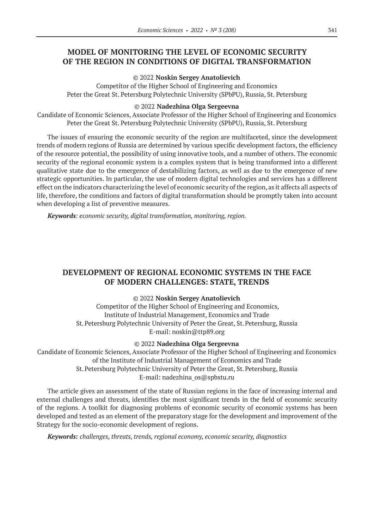# **MODEL OF MONITORING THE LEVEL OF ECONOMIC SECURITY OF THE REGION IN CONDITIONS OF DIGITAL TRANSFORMATION**

#### © 2022 **Noskin Sergey Anatolievich**

Competitor of the Higher School of Engineering and Economics Peter the Great St. Petersburg Polytechnic University (SPbPU), Russia, St. Petersburg

#### © 2022 **Nadezhina Olga Sergeevna**

Candidate of Economic Sciences, Associate Professor of the Higher School of Engineering and Economics Peter the Great St. Petersburg Polytechnic University (SPbPU), Russia, St. Petersburg

The issues of ensuring the economic security of the region are multifaceted, since the development trends of modern regions of Russia are determined by various specific development factors, the efficiency of the resource potential, the possibility of using innovative tools, and a number of others. The economic security of the regional economic system is a complex system that is being transformed into a different qualitative state due to the emergence of destabilizing factors, as well as due to the emergence of new strategic opportunities. In particular, the use of modern digital technologies and services has a different effect on the indicators characterizing the level of economic security of the region, as it affects all aspects of life, therefore, the conditions and factors of digital transformation should be promptly taken into account when developing a list of preventive measures.

*Keywords: economic security, digital transformation, monitoring, region.*

# **DEVELOPMENT OF REGIONAL ECONOMIC SYSTEMS IN THE FACE OF MODERN CHALLENGES: STATE, TRENDS**

#### © 2022 **Noskin Sergey Anatolievich**

Competitor of the Higher School of Engineering and Economics, Institute of Industrial Management, Economics and Trade St.Petersburg Polytechnic University of Peter the Great, St.Petersburg, Russia E-mail: noskin@ttp89.org

#### © 2022 **Nadezhina Olga Sergeevna**

Candidate of Economic Sciences, Associate Professor of the Higher School of Engineering and Economics of the Institute of Industrial Management of Economics and Trade St.Petersburg Polytechnic University of Peter the Great, St.Petersburg, Russia E-mail: nadezhina\_os@spbstu.ru

The article gives an assessment of the state of Russian regions in the face of increasing internal and external challenges and threats, identifies the most significant trends in the field of economic security of the regions. A toolkit for diagnosing problems of economic security of economic systems has been developed and tested as an element of the preparatory stage for the development and improvement of the Strategy for the socio-economic development of regions.

*Keywords: challenges, threats, trends, regional economy, economic security, diagnostics*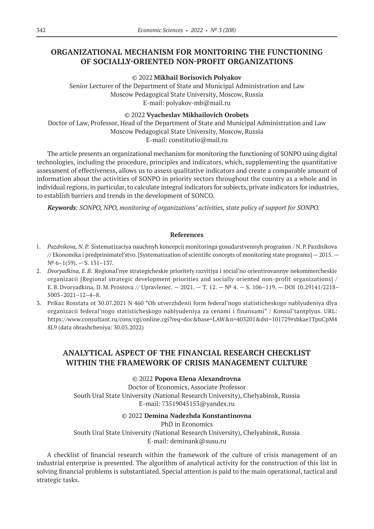# **ORGANIZATIONAL MECHANISM FOR MONITORING THE FUNCTIONING OF SOCIALLY-ORIENTED NON-PROFIT ORGANIZATIONS**

### © 2022 **Mikhail Borisovich Polyakov**

Senior Lecturer of the Department of State and Municipal Administration and Law Moscow Pedagogical State University, Moscow, Russia E-mail: polyakov-mb@mail.ru

### © 2022 **Vyacheslav Mikhailovich Orobets**

Doctor of Law, Professor, Head of the Department of State and Municipal Administration and Law Moscow Pedagogical State University, Moscow, Russia E-mail: constitutio@mail.ru

The article presents an organizational mechanism for monitoring the functioning of SONPO using digital technologies, including the procedure, principles and indicators, which, supplementing the quantitative assessment of effectiveness, allows us to assess qualitative indicators and create a comparable amount of information about the activities of SONPO in priority sectors throughout the country as a whole and in individual regions, in particular, to calculate integral indicators for subjects, private indicators for industries, to establish barriers and trends in the development of SONCO.

*Keywords: SONPO, NPO, monitoring of organizations' activities, state policy of support for SONPO.*

### **References**

- 1. *Pazdnikova, N.P.* Sistematizaciya nauchnyh koncepcij monitoringa gosudarstvennyh programm / N.P.Pazdnikova // Ekonomika i predprinimatel'stvo. [Systematization of scientific concepts of monitoring state programs] — 2015. —  $N^{\circ}$  6–1(59). – S. 131–137.
- 2. *Dvoryadkina, E.B.* Regional'nye strategicheskie prioritety razvitiya i social'no orientirovannye nekommercheskie organizacii [Regional strategic development priorities and socially oriented non-profit organizations] / E.B. Dvoryadkina, D. M. Prostova // Upravlenec. — 2021. — T. 12. — № 4. — S. 106–119. — DOI 10.29141/2218– 5003–2021–12–4–8.
- 3. Prikaz Rosstata ot 30.07.2021 N 460 "Ob utverzhdenii form federal'nogo statisticheskogo nablyudeniya dlya organizacii federal'nogo statisticheskogo nablyudeniya za cenami i finansami" / Konsul'tantplyus. URL: https://www.consultant.ru/cons/cgi/online.cgi?req=doc&base=LAW&n=403201&dst=101729#sbkae1TpuCpM4 8L9 (data obrashcheniya: 30.03.2022)

# **ANALYTICAL ASPECT OF THE FINANCIAL RESEARCH CHECKLIST WITHIN THE FRAMEWORK OF CRISIS MANAGEMENT CULTURE**

### © 2022 **Popova Elena Alexandrovna**

Doctor of Economics, Associate Professor South Ural State University (National Research University), Chelyabinsk, Russia E-mail: 73519045153@yandex.ru

### © 2022 **Demina Nadezhda Konstantinovna**

PhD in Economics South Ural State University (National Research University), Chelyabinsk, Russia E-mail: deminank@susu.ru

A checklist of financial research within the framework of the culture of crisis management of an industrial enterprise is presented. The algorithm of analytical activity for the construction of this list in solving financial problems is substantiated. Special attention is paid to the main operational, tactical and strategic tasks.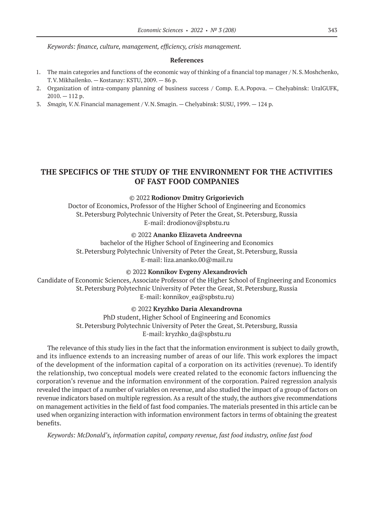*Keywords: finance, culture, management, efficiency, crisis management.*

#### **References**

- 1. The main categories and functions of the economic way of thinking of a financial top manager / N.S.Moshchenko, T.V.Mikhailenko. — Kostanay: KSTU, 2009. — 86 p.
- 2. Organization of intra-company planning of business success / Comp. E.A.Popova. Chelyabinsk: UralGUFK,  $2010 - 112$  p.
- 3. *Smagin, V.N.* Financial management / V.N.Smagin. Chelyabinsk: SUSU, 1999. 124 p.

## **THE SPECIFICS OF THE STUDY OF THE ENVIRONMENT FOR THE ACTIVITIES OF FAST FOOD COMPANIES**

#### © 2022 **Rodionov Dmitry Grigorievich**

Doctor of Economics, Professor of the Higher School of Engineering and Economics St.Petersburg Polytechnic University of Peter the Great, St.Petersburg, Russia E-mail: drodionov@spbstu.ru

© 2022 **Ananko Elizaveta Andreevna**

bachelor of the Higher School of Engineering and Economics St.Petersburg Polytechnic University of Peter the Great, St.Petersburg, Russia E-mail: liza.ananko.00@mail.ru

### © 2022 **Konnikov Evgeny Alexandrovich**

Candidate of Economic Sciences, Associate Professor of the Higher School of Engineering and Economics St.Petersburg Polytechnic University of Peter the Great, St.Petersburg, Russia E-mail: konnikov\_ea@spbstu.ru)

#### © 2022 **Kryzhko Daria Alexandrovna**

PhD student, Higher School of Engineering and Economics St.Petersburg Polytechnic University of Peter the Great, St.Petersburg, Russia E-mail: kryzhko\_da@spbstu.ru

The relevance of this study lies in the fact that the information environment is subject to daily growth, and its influence extends to an increasing number of areas of our life. This work explores the impact of the development of the information capital of a corporation on its activities (revenue). To identify the relationship, two conceptual models were created related to the economic factors influencing the corporation's revenue and the information environment of the corporation. Paired regression analysis revealed the impact of a number of variables on revenue, and also studied the impact of a group of factors on revenue indicators based on multiple regression. As a result of the study, the authors give recommendations on management activities in the field of fast food companies. The materials presented in this article can be used when organizing interaction with information environment factors in terms of obtaining the greatest benefits.

*Keywords: McDonald's, information capital, company revenue, fast food industry, online fast food*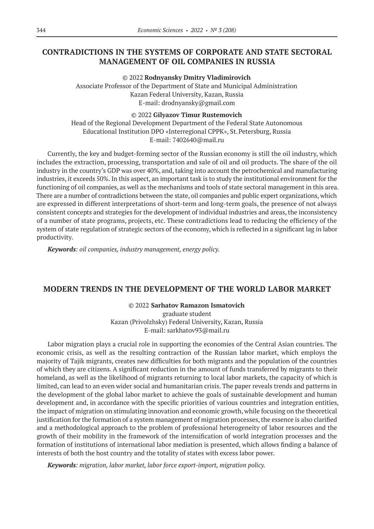# **CONTRADICTIONS IN THE SYSTEMS OF CORPORATE AND STATE SECTORAL MANAGEMENT OF OIL COMPANIES IN RUSSIA**

© 2022 **Rodnyansky Dmitry Vladimirovich** Associate Professor of the Department of State and Municipal Administration Kazan Federal University, Kazan, Russia E-mail: drodnyansky@gmail.com

### © 2022 **Gilyazov Timur Rustemovich**

Head of the Regional Development Department of the Federal State Autonomous Educational Institution DPO «Interregional CPPK», St.Petersburg, Russia E-mail: 7402640@mail.ru

Currently, the key and budget-forming sector of the Russian economy is still the oil industry, which includes the extraction, processing, transportation and sale of oil and oil products. The share of the oil industry in the country's GDP was over 40%, and, taking into account the petrochemical and manufacturing industries, it exceeds 50%. In this aspect, an important task is to study the institutional environment for the functioning of oil companies, as well as the mechanisms and tools of state sectoral management in this area. There are a number of contradictions between the state, oil companies and public expert organizations, which are expressed in different interpretations of short-term and long-term goals, the presence of not always consistent concepts and strategies for the development of individual industries and areas, the inconsistency of a number of state programs, projects, etc. These contradictions lead to reducing the efficiency of the system of state regulation of strategic sectors of the economy, which is reflected in a significant lag in labor productivity.

*Keywords: оil companies, industry management, energy policy.*

### **MODERN TRENDS IN THE DEVELOPMENT OF THE WORLD LABOR MARKET**

© 2022 **Sarhatov Ramazon Ismatovich** graduate student Kazan (Privolzhsky) Federal University, Kazan, Russia

E-mail: sarkhatov93@mail.ru

Labor migration plays a crucial role in supporting the economies of the Central Asian countries. The economic crisis, as well as the resulting contraction of the Russian labor market, which employs the majority of Tajik migrants, creates new difficulties for both migrants and the population of the countries of which they are citizens. A significant reduction in the amount of funds transferred by migrants to their homeland, as well as the likelihood of migrants returning to local labor markets, the capacity of which is limited, can lead to an even wider social and humanitarian crisis. The paper reveals trends and patterns in the development of the global labor market to achieve the goals of sustainable development and human development and, in accordance with the specific priorities of various countries and integration entities, the impact of migration on stimulating innovation and economic growth, while focusing on the theoretical justification for the formation of a system management of migration processes, the essence is also clarified and a methodological approach to the problem of professional heterogeneity of labor resources and the growth of their mobility in the framework of the intensification of world integration processes and the formation of institutions of international labor mediation is presented, which allows finding a balance of interests of both the host country and the totality of states with excess labor power.

*Keywords: migration, labor market, labor force export-import, migration policy.*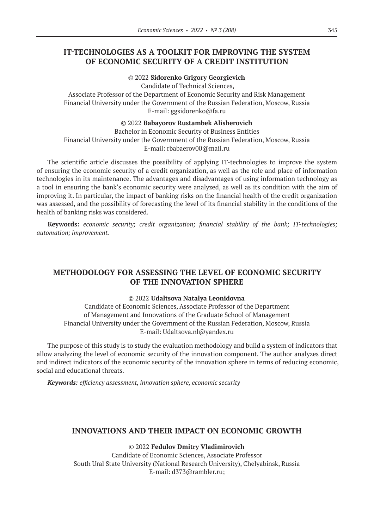# **IT-TECHNOLOGIES AS A TOOLKIT FOR IMPROVING THE SYSTEM OF ECONOMIC SECURITY OF A CREDIT INSTITUTION**

© 2022 **Sidorenko Grigory Georgievich**

Candidate of Technical Sciences, Associate Professor of the Department of Economic Security and Risk Management Financial University under the Government of the Russian Federation, Moscow, Russia E-mail: ggsidorenko@fa.ru

© 2022 **Babayorov Rustambek Alisherovich**

Bachelor in Economic Security of Business Entities Financial University under the Government of the Russian Federation, Moscow, Russia E-mail: rbabaerov00@mail.ru

The scientific article discusses the possibility of applying IT-technologies to improve the system of ensuring the economic security of a credit organization, as well as the role and place of information technologies in its maintenance. The advantages and disadvantages of using information technology as a tool in ensuring the bank's economic security were analyzed, as well as its condition with the aim of improving it. In particular, the impact of banking risks on the financial health of the credit organization was assessed, and the possibility of forecasting the level of its financial stability in the conditions of the health of banking risks was considered.

**Keywords:** *economic security; credit organization; financial stability of the bank; IT-technologies; automation; improvement.*

# **METHODOLOGY FOR ASSESSING THE LEVEL OF ECONOMIC SECURITY OF THE INNOVATION SPHERE**

### © 2022 **Udaltsova Natalya Leonidovna**

Candidate of Economic Sciences, Associate Professor of the Department of Management and Innovations of the Graduate School of Management Financial University under the Government of the Russian Federation, Moscow, Russia E-mail: Udaltsova.nl@yandex.ru

The purpose of this study is to study the evaluation methodology and build a system of indicators that allow analyzing the level of economic security of the innovation component. The author analyzes direct and indirect indicators of the economic security of the innovation sphere in terms of reducing economic, social and educational threats.

*Keywords: efficiency assessment, innovation sphere, economic security*

### **INNOVATIONS AND THEIR IMPACT ON ECONOMIC GROWTH**

© 2022 **Fedulov Dmitry Vladimirovich** Candidate of Economic Sciences, Associate Professor South Ural State University (National Research University), Chelyabinsk, Russia E-mail: d373@rambler.ru;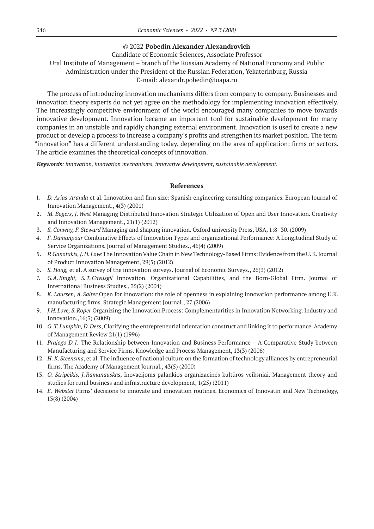#### © 2022 **Pobedin Alexander Alexandrovich**

Candidate of Economic Sciences, Associate Professor Ural Institute of Management – branch of the Russian Academy of National Economy and Public Administration under the President of the Russian Federation, Yekaterinburg, Russia E-mail: alexandr.pobedin@uapa.ru

The process of introducing innovation mechanisms differs from company to company. Businesses and innovation theory experts do not yet agree on the methodology for implementing innovation effectively. The increasingly competitive environment of the world encouraged many companies to move towards innovative development. Innovation became an important tool for sustainable development for many companies in an unstable and rapidly changing external environment. Innovation is used to create a new product or develop a process to increase a company's profits and strengthen its market position. The term "innovation" has a different understanding today, depending on the area of application: firms or sectors. The article examines the theoretical concepts of innovation.

*Keywords: innovation, innovation mechanisms, innovative development, sustainable development.*

#### **References**

- 1. *D. Arias-Aranda* et al. Innovation and firm size: Spanish engineering consulting companies. European Journal of Innovation Management., 4(3) (2001)
- 2. *M. Bogers, J.West* Managing Distributed Innovation Strategic Utilization of Open and User Innovation. Creativity and Innovation Management., 21(1) (2012)
- 3. *S. Conway, F.Steward* Managing and shaping innovation. Oxford university Press, USA, 1:8–30. (2009)
- 4. *F. Damanpour* Combinative Effects of Innovation Types and organizational Performance: A Longitudinal Study of Service Organizations. Journal of Management Studies., 46(4) (2009)
- 5. *P. Ganotakis, J.H.Love* The Innovation Value Chain in New Technology-Based Firms: Evidence from the U.K.Journal of Product Innovation Management, 29(5) (2012)
- 6. *S. Hong,* et al. A survey of the innovation surveys. Journal of Economic Surveys., 26(3) (2012)
- 7. *G.A.Knight, S.T.Cavusgil* Innovation, Organizational Capabilities, and the Born-Global Firm. Journal of International Business Studies., 35(2) (2004)
- 8. *K. Laursen, A.Salter* Open for innovation: the role of openness in explaining innovation performance among U.K. manufacturing firms. Strategic Management Journal., 27 (2006)
- 9. *J.H.Love, S.Roper* Organizing the Innovation Process: Complementarities in Innovation Networking. Industry and Innovation.,16(3) (2009)
- 10. *G. T.Lumpkin, D.Dess*, Clarifying the entrepreneurial orientation construct and linking it to performance. Academy of Management Review 21(1) (1996)
- 11. *Prajogo D.I.* The Relationship between Innovation and Business Performance A Comparative Study between Manufacturing and Service Firms. Knowledge and Process Management, 13(3) (2006)
- 12. *H. K.Steensma*, et al. The influence of national culture on the formation of technology alliances by entrepreneurial firms. The Academy of Management Journal., 43(5) (2000)
- 13. *O. Stripeikis, J.Ramanauskas*, Inovacijoms palankios organizacinės kultūros veiksniai. Management theory and studies for rural business and infrastructure development, 1(25) (2011)
- 14. *E. Webster* Firms' decisions to innovate and innovation routines. Economics of Innovatin and New Technology, 13(8) (2004)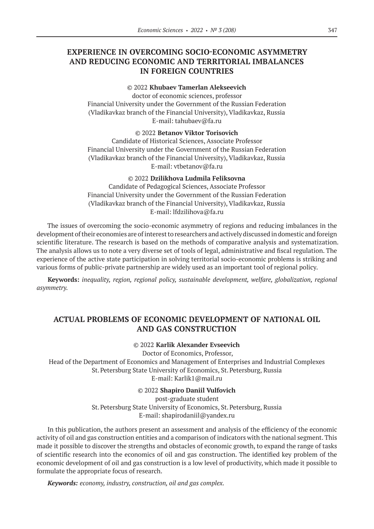# **EXPERIENCE IN OVERCOMING SOCIO-ECONOMIC ASYMMETRY AND REDUCING ECONOMIC AND TERRITORIAL IMBALANCES IN FOREIGN COUNTRIES**

### © 2022 **Khubaev Tamerlan Alekseevich**

doctor of economic sciences, professor Financial University under the Government of the Russian Federation (Vladikavkaz branch of the Financial University), Vladikavkaz, Russia E-mail: tahubaev@fa.ru

#### © 2022 **Betanov Viktor Torisovich**

Candidate of Historical Sciences, Associate Professor Financial University under the Government of the Russian Federation (Vladikavkaz branch of the Financial University), Vladikavkaz, Russia E-mail: vtbetanov@fa.ru

#### © 2022 **Dzilikhova Ludmila Feliksovna**

Candidate of Pedagogical Sciences, Associate Professor Financial University under the Government of the Russian Federation (Vladikavkaz branch of the Financial University), Vladikavkaz, Russia E-mail: lfdzilihova@fa.ru

The issues of overcoming the socio-economic asymmetry of regions and reducing imbalances in the development of their economies are of interest to researchers and actively discussed in domestic and foreign scientific literature. The research is based on the methods of comparative analysis and systematization. The analysis allows us to note a very diverse set of tools of legal, administrative and fiscal regulation. The experience of the active state participation in solving territorial socio-economic problems is striking and various forms of public-private partnership are widely used as an important tool of regional policy.

**Keywords:** *inequality, region, regional policy, sustainable development, welfare, globalization, regional asymmetry.*

### **ACTUAL PROBLEMS OF ECONOMIC DEVELOPMENT OF NATIONAL OIL AND GAS CONSTRUCTION**

### © 2022 **Karlik Alexander Evseevich**

Doctor of Economics, Professor, Head of the Department of Economics and Management of Enterprises and Industrial Complexes St.Petersburg State University of Economics, St.Petersburg, Russia E-mail: Karlik1@mail.ru

© 2022 **Shapiro Daniil Vulfovich**

post-graduate student St.Petersburg State University of Economics, St.Petersburg, Russia E-mail: shapirodaniil@yandex.ru

In this publication, the authors present an assessment and analysis of the efficiency of the economic activity of oil and gas construction entities and a comparison of indicators with the national segment. This made it possible to discover the strengths and obstacles of economic growth, to expand the range of tasks of scientific research into the economics of oil and gas construction. The identified key problem of the economic development of oil and gas construction is a low level of productivity, which made it possible to formulate the appropriate focus of research.

*Keywords: economy, industry, construction, oil and gas complex.*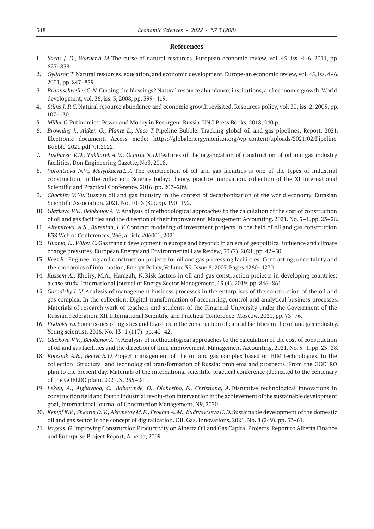#### **References**

- 1. *Sachs J. D., WarnerA.M.*The curse of natural resources. European economic review, vol. 45, iss. 4–6, 2011, pp. 827–838.
- 2. *Gylfason T.*Natural resources, education, and economic development. Europe-an economic review, vol. 45, iss. 4–6, 2001, pp. 847–859.
- 3. *Brunnschweiler C.N.*Cursing the blessings? Natural resource abundance, institutions, and economic growth. World development, vol. 36, iss. 3, 2008, pp. 399–419.
- 4. *Stijns J. P.C.*Natural resource abundance and economic growth revisited. Resources policy, vol. 30, iss. 2, 2005, pp. 107–130.
- 5. *Miller C.*Putinomics: Power and Money in Resurgent Russia. UNC Press Books. 2018, 240 p.
- 6. *Browning J., Aitken G., Plante L., Nace T.*Pipeline Bubble. Tracking global oil and gas pipelines. Report, 2021. Electronic document. Access mode: https://globalenergymonitor.org/wp-content/uploads/2021/02/Pipeline-Bubble‑2021.pdf 7.1.2022.
- 7. *Tukhareli V.D., TukhareliA.V., Ochirov N.D.*Features of the organization of construction of oil and gas industry facilities. Don Engineering Gazette, No3, 2018.
- 8. *Vorontsova N.V., Mulyakaeva L.A.*The construction of oil and gas facilities is one of the types of industrial construction. In the collection: Science today: theory, practice, innovation. collection of the XI International Scientific and Practical Conference. 2016, pp. 207–209.
- 9. *Chochiev V.Yu.*Russian oil and gas industry in the context of decarbonization of the world economy. Eurasian Scientific Association. 2021. No. 10–3 (80). pp. 190–192.
- 10. *Glazkova V.V., BelokonovA.V.*Analysis of methodological approaches to the calculation of the cost of construction of oil and gas facilities and the direction of their improvement. Management Accounting. 2021. No. 5–1. pp. 23–28.
- 11. *Altemirova, A.S., Burenina, I.V*.Contract modeling of investment projects in the field of oil and gas construction. E3S Web of Conferences, 266, article #06001, 2021.
- 12. *Huomo, L., Wilby, C.*Gas transit development in europe and beyond: In an era of geopolitical influence and climate change pressures. European Energy and Environmental Law Review, 30 (2), 2021, pp. 42–50.
- 13. *Kees B.,* Engineering and construction projects for oil and gas processing facili-ties: Contracting, uncertainty and the economics of information, Energy Policy, Volume 35, Issue 8, 2007, Pages 4260–4270.
- 14. *Kassem A.,* Khoiry, M.A., Hamzah, N.Risk factors in oil and gas construction projects in developing countries: a case study. International Journal of Energy Sector Management, 13 (4), 2019, pp. 846–861.
- 15. *Gorodisky I.M.*Analysis of management business processes in the enterprises of the construction of the oil and gas complex. In the collection: Digital transformation of accounting, control and analytical business processes. Materials of research work of teachers and students of the Financial University under the Government of the Russian Federation. XII International Scientific and Practical Conference. Moscow, 2021, pp. 73–76.
- 16. *Erkhova Yu.*Some issues of logistics and logistics in the construction of capital facilities in the oil and gas industry. Young scientist. 2016. No. 13–1 (117). pp. 40–42.
- 17. *Glazkova V.V., BelokonovA.V.*Analysis of methodological approaches to the calculation of the cost of construction of oil and gas facilities and the direction of their improvement. Management Accounting. 2021. No. 5–1. pp. 23–28.
- 18. *Kolesnik A.E., Belova E.O.*Project management of the oil and gas complex based on BIM technologies. In the collection: Structural and technological transformation of Russia: problems and prospects. From the GOELRO plan to the present day. Materials of the international scientific-practical conference (dedicated to the centenary of the GOELRO plan). 2021. S. 235–241.
- 19. *Lekan, A., Aigbavboa, C., Babatunde, O., Olabosipo, F., Christiana, A*.Disruptive technological innovations in construction field and fourth industrial revolu-tion intervention in the achievement of the sustainable development goal, International Journal of Construction Management, N9, 2020.
- 20. *Kempf K.V., Shkarin D.V., Akhmetov M.F., ErokhinA.M., Kudryavtseva U.D.*Sustainable development of the domestic oil and gas sector in the concept of digitalization. Oil. Gas. Innovations. 2021. No. 8 (249). pp. 57–61.
- 21. *Jergeas, G*.Improving Construction Productivity on Alberta Oil and Gas Capital Projects, Report to Alberta Finance and Enterprise Project Report, Alberta, 2009.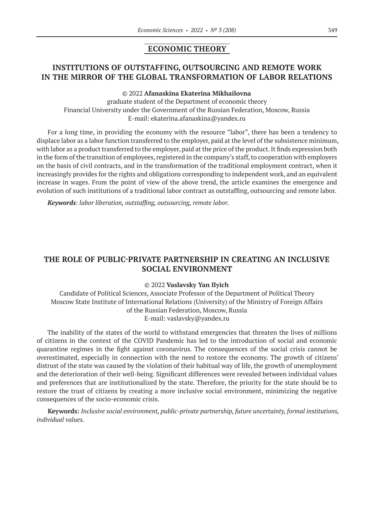### **ECONOMIC THEORY**

# **INSTITUTIONS OF OUTSTAFFING, OUTSOURCING AND REMOTE WORK IN THE MIRROR OF THE GLOBAL TRANSFORMATION OF LABOR RELATIONS**

#### © 2022 **Afanaskina Ekaterina Mikhailovna**

graduate student of the Department of economic theory Financial University under the Government of the Russian Federation, Moscow, Russia E-mail: ekaterina.afanaskina@yandex.ru

For a long time, in providing the economy with the resource "labor", there has been a tendency to displace labor as a labor function transferred to the employer, paid at the level of the subsistence minimum, with labor as a product transferred to the employer, paid at the price of the product. It finds expression both in the form of the transition of employees, registered in the company's staff, to cooperation with employers on the basis of civil contracts, and in the transformation of the traditional employment contract, when it increasingly provides for the rights and obligations corresponding to independent work, and an equivalent increase in wages. From the point of view of the above trend, the article examines the emergence and evolution of such institutions of a traditional labor contract as outstaffing, outsourcing and remote labor.

*Keywords: labor liberation, outstaffing, outsourcing, remote labor.*

### **THE ROLE OF PUBLIC-PRIVATE PARTNERSHIP IN CREATING AN INCLUSIVE SOCIAL ENVIRONMENT**

#### © 2022 **Vaslavsky Yan Ilyich**

Candidate of Political Sciences, Associate Professor of the Department of Political Theory Moscow State Institute of International Relations (University) of the Ministry of Foreign Affairs of the Russian Federation, Moscow, Russia E-mail: vaslavsky@yandex.ru

The inability of the states of the world to withstand emergencies that threaten the lives of millions of citizens in the context of the COVID Pandemic has led to the introduction of social and economic quarantine regimes in the fight against coronavirus. The consequences of the social crisis cannot be overestimated, especially in connection with the need to restore the economy. The growth of citizens' distrust of the state was caused by the violation of their habitual way of life, the growth of unemployment and the deterioration of their well-being. Significant differences were revealed between individual values and preferences that are institutionalized by the state. Therefore, the priority for the state should be to restore the trust of citizens by creating a more inclusive social environment, minimizing the negative consequences of the socio-economic crisis.

**Keywords:** *Inclusive social environment, public-private partnership, future uncertainty, formal institutions, individual values.*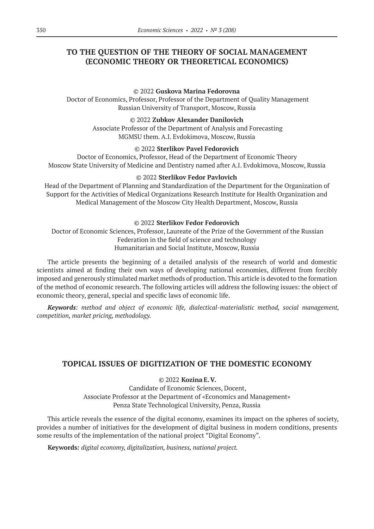# **TO THE QUESTION OF THE THEORY OF SOCIAL MANAGEMENT (ECONOMIC THEORY OR THEORETICAL ECONOMICS)**

### © 2022 **Guskova Marina Fedorovna**

 Doctor of Economics, Professor, Professor of the Department of Quality Management Russian University of Transport, Moscow, Russia

#### © 2022 **Zubkov Alexander Danilovich**

 Associate Professor of the Department of Analysis and Forecasting MGMSU them. A.I. Evdokimova, Moscow, Russia

### © 2022 **Sterlikov Pavel Fedorovich**

Doctor of Economics, Professor, Head of the Department of Economic Theory Moscow State University of Medicine and Dentistry named after A.I. Evdokimova, Moscow, Russia

### © 2022 **Sterlikov Fedor Pavlovich**

Head of the Department of Planning and Standardization of the Department for the Organization of Support for the Activities of Medical Organizations Research Institute for Health Organization and Medical Management of the Moscow City Health Department, Moscow, Russia

### © 2022 **Sterlikov Fedor Fedorovich**

 Doctor of Economic Sciences, Professor, Laureate of the Prize of the Government of the Russian Federation in the field of science and technology Humanitarian and Social Institute, Moscow, Russia

The article presents the beginning of a detailed analysis of the research of world and domestic scientists aimed at finding their own ways of developing national economies, different from forcibly imposed and generously stimulated market methods of production. This article is devoted to the formation of the method of economic research. The following articles will address the following issues: the object of economic theory, general, special and specific laws of economic life.

*Keywords: method and object of economic life, dialectical-materialistic method, social management, competition, market pricing, methodology.*

### **TOPICAL ISSUES OF DIGITIZATION OF THE DOMESTIC ECONOMY**

© 2022 **Kozina E.V.** Candidate of Economic Sciences, Docent, Associate Professor at the Department of «Economics and Management» Penza State Technological University, Penza, Russia

This article reveals the essence of the digital economy, examines its impact on the spheres of society, provides a number of initiatives for the development of digital business in modern conditions, presents some results of the implementation of the national project "Digital Economy".

**Keywords***: digital economy, digitalization, business, national project.*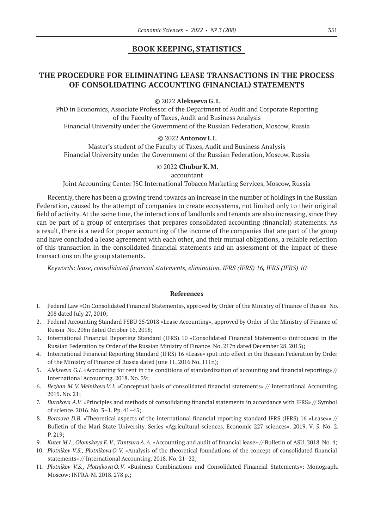### **BOOK KEEPING, STATISTICS**

# **THE PROCEDURE FOR ELIMINATING LEASE TRANSACTIONS IN THE PROCESS OF CONSOLIDATING ACCOUNTING (FINANCIAL) STATEMENTS**

© 2022 **Alekseeva G.I.**

PhD in Economics, Associate Professor of the Department of Audit and Corporate Reporting of the Faculty of Taxes, Audit and Business Analysis Financial University under the Government of the Russian Federation, Moscow, Russia

### © 2022 **Antonov I.I.**

Master's student of the Faculty of Taxes, Audit and Business Analysis Financial University under the Government of the Russian Federation, Moscow, Russia

### © 2022 **Chubur K.M.**

accountant

Joint Accounting Center JSC International Tobacco Marketing Services, Moscow, Russia

Recently, there has been a growing trend towards an increase in the number of holdings in the Russian Federation, caused by the attempt of companies to create ecosystems, not limited only to their original field of activity. At the same time, the interactions of landlords and tenants are also increasing, since they can be part of a group of enterprises that prepares consolidated accounting (financial) statements. As a result, there is a need for proper accounting of the income of the companies that are part of the group and have concluded a lease agreement with each other, and their mutual obligations, a reliable reflection of this transaction in the consolidated financial statements and an assessment of the impact of these transactions on the group statements.

*Keywords: lease, consolidated financial statements, elimination, IFRS (IFRS) 16, IFRS (IFRS) 10*

#### **References**

- 1. Federal Law «On Consolidated Financial Statements», approved by Order of the Ministry of Finance of Russia No. 208 dated July 27, 2010;
- 2. Federal Accounting Standard FSBU 25/2018 «Lease Accounting», approved by Order of the Ministry of Finance of Russia No. 208n dated October 16, 2018;
- 3. International Financial Reporting Standard (IFRS) 10 «Consolidated Financial Statements» (introduced in the Russian Federation by Order of the Russian Ministry of Finance No. 217n dated December 28, 2015);
- 4. International Financial Reporting Standard (IFRS) 16 «Lease» (put into effect in the Russian Federation by Order of the Ministry of Finance of Russia dated June 11, 2016 No. 111n);
- 5. *Alekseeva G.I.* «Accounting for rent in the conditions of standardization of accounting and financial reporting» // International Accounting. 2018. No. 39;
- 6. *Bezhan M.V.MelnikovaV.I.* «Conceptual basis of consolidated financial statements» // International Accounting. 2015. No. 21;
- 7. *Burakova A.V.* «Principles and methods of consolidating financial statements in accordance with IFRS» // Symbol of science. 2016. No. 3–1. Pp. 41–45;
- 8. *Bortsova D.B.* «Theoretical aspects of the international financial reporting standard IFRS (IFRS) 16 «Lease»» // Bulletin of the Mari State University. Series «Agricultural sciences. Economic 227 sciences». 2019. V. 5. No. 2. P. 219;
- 9. *Kuter M.I., Olomskaya E.V., TantsuraA.A.* «Accounting and audit of financial lease» // Bulletin of ASU. 2018. No. 4;
- 10. *Plotnikov V.S., Plotnikova O.V.* «Analysis of the theoretical foundations of the concept of consolidated financial statements» // International Accounting. 2018. No. 21–22;
- 11. *Plotnikov V.S., Plotnikova O.V.* «Business Combinations and Consolidated Financial Statements»: Monograph. Moscow: INFRA-M. 2018. 278 p.;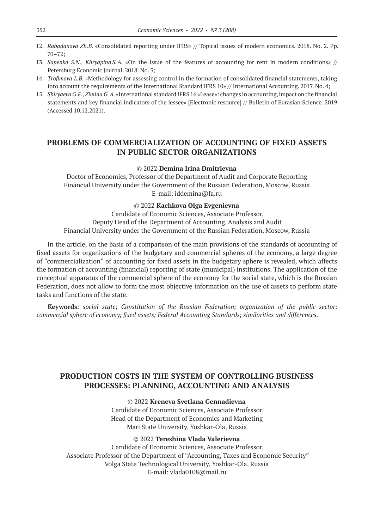- 12. *Rabadanova Zh.B.* «Consolidated reporting under IFRS» // Topical issues of modern economics. 2018. No. 2. Pp. 70–72;
- 13. *Sapenko S.N., Khryapina S.A.* «On the issue of the features of accounting for rent in modern conditions» // Petersburg Economic Journal. 2018. No. 3;
- 14. *Trofimova L.B.* «Methodology for assessing control in the formation of consolidated financial statements, taking into account the requirements of the International Standard IFRS 10» // International Accounting. 2017. No. 4;
- 15. *Shiryaeva G.F., ZiminaG.A.* «International standard IFRS 16 «Lease»: changes in accounting, impact on the financial statements and key financial indicators of the lessee» [Electronic resource] // Bulletin of Eurasian Science. 2019 (Accessed 10.12.2021).

# **PROBLEMS OF COMMERCIALIZATION OF ACCOUNTING OF FIXED ASSETS IN PUBLIC SECTOR ORGANIZATIONS**

#### © 2022 **Demina Irina Dmitrievna**

Doctor of Economics, Professor of the Department of Audit and Corporate Reporting Financial University under the Government of the Russian Federation, Moscow, Russia E-mail: iddemina@fa.ru

#### © 2022 **Kachkova Olga Evgenievna**

Candidate of Economic Sciences, Associate Professor, Deputy Head of the Department of Accounting, Analysis and Audit Financial University under the Government of the Russian Federation, Moscow, Russia

In the article, on the basis of a comparison of the main provisions of the standards of accounting of fixed assets for organizations of the budgetary and commercial spheres of the economy, a large degree of "commercialization" of accounting for fixed assets in the budgetary sphere is revealed, which affects the formation of accounting (financial) reporting of state (municipal) institutions. The application of the conceptual apparatus of the commercial sphere of the economy for the social state, which is the Russian Federation, does not allow to form the most objective information on the use of assets to perform state tasks and functions of the state.

**Keywords***: social state; Constitution of the Russian Federation; organization of the public sector; commercial sphere of economy; fixed assets; Federal Accounting Standards; similarities and differences.*

### **PRODUCTION COSTS IN THE SYSTEM OF CONTROLLING BUSINESS PROCESSES: PLANNING, ACCOUNTING AND ANALYSIS**

#### © 2022 **Kreneva Svetlana Gennadievna**

Candidate of Economic Sciences, Associate Professor, Head of the Department of Economics and Marketing Mari State University, Yoshkar-Ola, Russia

#### © 2022 **Tereshina Vlada Valerievna**

Candidate of Economic Sciences, Associate Professor, Associate Professor of the Department of "Accounting, Taxes and Economic Security" Volga State Technological University, Yoshkar-Ola, Russia E-mail: vlada0108@mail.ru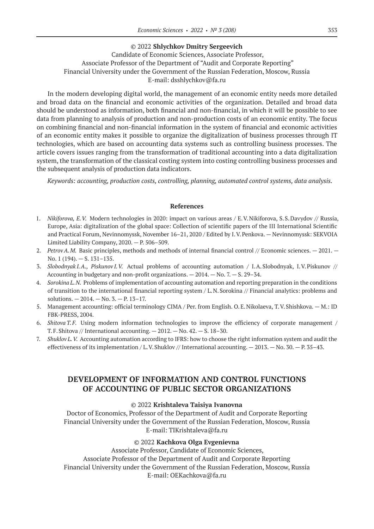### © 2022 **Shlychkov Dmitry Sergeevich**

Candidate of Economic Sciences, Associate Professor, Associate Professor of the Department of "Audit and Corporate Reporting" Financial University under the Government of the Russian Federation, Moscow, Russia E-mail: dsshlychkov@fa.ru

In the modern developing digital world, the management of an economic entity needs more detailed and broad data on the financial and economic activities of the organization. Detailed and broad data should be understood as information, both financial and non-financial, in which it will be possible to see data from planning to analysis of production and non-production costs of an economic entity. The focus on combining financial and non-financial information in the system of financial and economic activities of an economic entity makes it possible to organize the digitalization of business processes through IT technologies, which are based on accounting data systems such as controlling business processes. The article covers issues ranging from the transformation of traditional accounting into a data digitalization system, the transformation of the classical costing system into costing controlling business processes and the subsequent analysis of production data indicators.

*Keywords: accounting, production costs, controlling, planning, automated control systems, data analysis.*

#### **References**

- 1. *Nikiforova, E.V.* Modern technologies in 2020: impact on various areas / E.V.Nikiforova, S.S.Davydov // Russia, Europe, Asia: digitalization of the global space: Collection of scientific papers of the III International Scientific and Practical Forum, Nevinnomyssk, November 16–21, 2020 / Edited by I.V.Penkova. — Nevinnomyssk: SEKVOIA Limited Liability Company, 2020. — P. 506–509.
- 2. *PetrovA.M.* Basic principles, methods and methods of internal financial control // Economic sciences.  $-2021$ .  $-$ No. 1 (194). — S. 131–135.
- 3. *Slobodnyak I.A., Piskunov I.V.* Actual problems of accounting automation / I.A.Slobodnyak, I.V.Piskunov // Accounting in budgetary and non-profit organizations.  $-2014$ .  $-$  No. 7.  $-$  S. 29–34.
- 4. *Sorokina L.N.* Problems of implementation of accounting automation and reporting preparation in the conditions of transition to the international financial reporting system / L.N.Sorokina // Financial analytics: problems and solutions. — 2014. — No. 3. — P. 13–17.
- 5. Management accounting: official terminology CIMA / Per. from English. O.E.Nikolaeva, T.V.Shishkova. M.: ID FBK-PRESS, 2004.
- 6. *Shitova T.F.* Using modern information technologies to improve the efficiency of corporate management / T.F. Shitova // International accounting.  $-2012$ .  $-$  No.  $42$ .  $-$  S.  $18-30$ .
- 7. *Shuklov L.V.* Accounting automation according to IFRS: how to choose the right information system and audit the effectiveness of its implementation / L.V. Shuklov // International accounting.  $-2013$ .  $-$  No. 30.  $-$  P. 35–43.

# **DEVELOPMENT OF INFORMATION AND CONTROL FUNCTIONS OF ACCOUNTING OF PUBLIC SECTOR ORGANIZATIONS**

### © 2022 **Krishtaleva Taisiya Ivanovna**

Doctor of Economics, Professor of the Department of Audit and Corporate Reporting Financial University under the Government of the Russian Federation, Moscow, Russia E-mail: TIKrishtaleva@fa.ru

#### © 2022 **Kachkova Olga Evgenievna**

Associate Professor, Candidate of Economic Sciences, Associate Professor of the Department of Audit and Corporate Reporting Financial University under the Government of the Russian Federation, Moscow, Russia E-mail: OEKachkova@fa.ru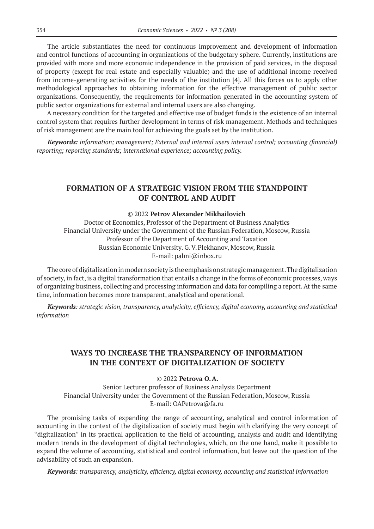The article substantiates the need for continuous improvement and development of information and control functions of accounting in organizations of the budgetary sphere. Currently, institutions are provided with more and more economic independence in the provision of paid services, in the disposal of property (except for real estate and especially valuable) and the use of additional income received from income-generating activities for the needs of the institution [4]. All this forces us to apply other methodological approaches to obtaining information for the effective management of public sector organizations. Consequently, the requirements for information generated in the accounting system of public sector organizations for external and internal users are also changing.

A necessary condition for the targeted and effective use of budget funds is the existence of an internal control system that requires further development in terms of risk management. Methods and techniques of risk management are the main tool for achieving the goals set by the institution.

*Keywords: information; management; External and internal users internal control; accounting (financial) reporting; reporting standards; international experience; accounting policy.*

### **FORMATION OF A STRATEGIC VISION FROM THE STANDPOINT OF CONTROL AND AUDIT**

### © 2022 **Petrov Alexander Mikhailovich**

Doctor of Economics, Professor of the Department of Business Analytics Financial University under the Government of the Russian Federation, Moscow, Russia Professor of the Department of Accounting and Taxation Russian Economic University. G.V.Plekhanov, Moscow, Russia E-mail: palmi@inbox.ru

The core of digitalization in modern society is the emphasis on strategic management. The digitalization of society, in fact, is a digital transformation that entails a change in the forms of economic processes, ways of organizing business, collecting and processing information and data for compiling a report. At the same time, information becomes more transparent, analytical and operational.

*Keywords: strategic vision, transparency, analyticity, efficiency, digital economy, accounting and statistical information*

# **WAYS TO INCREASE THE TRANSPARENCY OF INFORMATION IN THE CONTEXT OF DIGITALIZATION OF SOCIETY**

#### © 2022 **Petrova O.A.**

Senior Lecturer professor of Business Analysis Department Financial University under the Government of the Russian Federation, Moscow, Russia E-mail: OAPetrova@fa.ru

The promising tasks of expanding the range of accounting, analytical and control information of accounting in the context of the digitalization of society must begin with clarifying the very concept of "digitalization" in its practical application to the field of accounting, analysis and audit and identifying modern trends in the development of digital technologies, which, on the one hand, make it possible to expand the volume of accounting, statistical and control information, but leave out the question of the advisability of such an expansion.

*Keywords: transparency, analyticity, efficiency, digital economy, accounting and statistical information*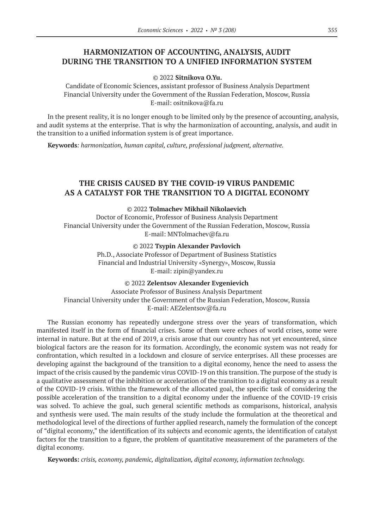# **HARMONIZATION OF ACCOUNTING, ANALYSIS, AUDIT DURING THE TRANSITION TO A UNIFIED INFORMATION SYSTEM**

#### © 2022 **Sitnikova O.Yu.**

 Candidate of Economic Sciences, assistant professor of Business Analysis Department Financial University under the Government of the Russian Federation, Moscow, Russia E-mail: ositnikova@fa.ru

In the present reality, it is no longer enough to be limited only by the presence of accounting, analysis, and audit systems at the enterprise. That is why the harmonization of accounting, analysis, and audit in the transition to a unified information system is of great importance.

**Keywords***: harmonization, human capital, culture, professional judgment, alternative.*

# **THE CRISIS CAUSED BY THE COVID‑19 VIRUS PANDEMIC AS A CATALYST FOR THE TRANSITION TO A DIGITAL ECONOMY**

### © 2022 **Tolmachev Mikhail Nikolaevich**

Doctor of Economic, Professor of Business Analysis Department Financial University under the Government of the Russian Federation, Moscow, Russia E-mail: MNTolmachev@fa.ru

© 2022 **Tsypin Alexander Pavlovich**

Ph.D., Associate Professor of Department of Business Statistics Financial and Industrial University «Synergy», Moscow, Russia E-mail: zipin@yandex.ru

© 2022 **Zelentsov Alexander Evgenievich** Associate Professor of Business Analysis Department Financial University under the Government of the Russian Federation, Moscow, Russia E-mail: AEZelentsov@fa.ru

The Russian economy has repeatedly undergone stress over the years of transformation, which manifested itself in the form of financial crises. Some of them were echoes of world crises, some were internal in nature. But at the end of 2019, a crisis arose that our country has not yet encountered, since biological factors are the reason for its formation. Accordingly, the economic system was not ready for confrontation, which resulted in a lockdown and closure of service enterprises. All these processes are developing against the background of the transition to a digital economy, hence the need to assess the impact of the crisis caused by the pandemic virus COVID-19 on this transition. The purpose of the study is a qualitative assessment of the inhibition or acceleration of the transition to a digital economy as a result of the COVID‑19 crisis. Within the framework of the allocated goal, the specific task of considering the possible acceleration of the transition to a digital economy under the influence of the COVID-19 crisis was solved. To achieve the goal, such general scientific methods as comparisons, historical, analysis and synthesis were used. The main results of the study include the formulation at the theoretical and methodological level of the directions of further applied research, namely the formulation of the concept of "digital economy," the identification of its subjects and economic agents, the identification of catalyst factors for the transition to a figure, the problem of quantitative measurement of the parameters of the digital economy.

**Keywords:** *crisis, economy, pandemic, digitalization, digital economy, information technology.*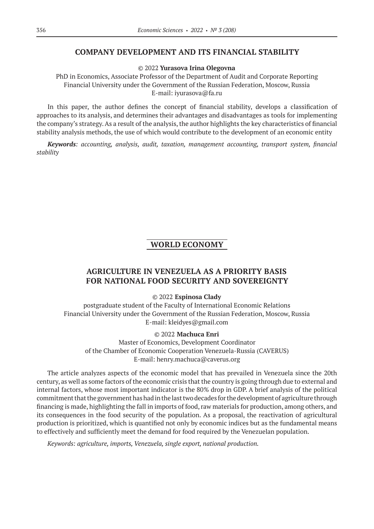### **COMPANY DEVELOPMENT AND ITS FINANCIAL STABILITY**

© 2022 **Yurasova Irina Olegovna**

PhD in Economics, Associate Professor of the Department of Audit and Corporate Reporting Financial University under the Government of the Russian Federation, Moscow, Russia E-mail: iyurasova@fa.ru

In this paper, the author defines the concept of financial stability, develops a classification of approaches to its analysis, and determines their advantages and disadvantages as tools for implementing the company's strategy. As a result of the analysis, the author highlights the key characteristics of financial stability analysis methods, the use of which would contribute to the development of an economic entity

*Keywords: accounting, analysis, audit, taxation, management accounting, transport system, financial stability*

### **WORLD ECONOMY**

# **AGRICULTURE IN VENEZUELA AS A PRIORITY BASIS FOR NATIONAL FOOD SECURITY AND SOVEREIGNTY**

### © 2022 **Espinosa Clady**

postgraduate student of the Faculty of International Economic Relations Financial University under the Government of the Russian Federation, Moscow, Russia E-mail: kleidyes@gmail.com

#### © 2022 **Machuca Enri**

Master of Economics, Development Coordinator of the Chamber of Economic Cooperation Venezuela-Russia (CAVERUS) E-mail: henry.machuca@caverus.org

The article analyzes aspects of the economic model that has prevailed in Venezuela since the 20th century, as well as some factors of the economic crisis that the country is going through due to external and internal factors, whose most important indicator is the 80% drop in GDP. A brief analysis of the political commitment that the government has had in the last two decades for the development of agriculture through financing is made, highlighting the fall in imports of food, raw materials for production, among others, and its consequences in the food security of the population. As a proposal, the reactivation of agricultural production is prioritized, which is quantified not only by economic indices but as the fundamental means to effectively and sufficiently meet the demand for food required by the Venezuelan population.

*Keywords: аgriculture, imports, Venezuela, single export, national production.*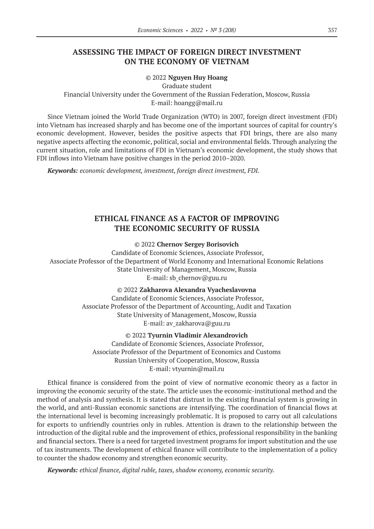### **ASSESSING THE IMPACT OF FOREIGN DIRECT INVESTMENT ON THE ECONOMY OF VIETNAM**

#### © 2022 **Nguyen Huy Hoang**

Graduate student

Financial University under the Government of the Russian Federation, Moscow, Russia E-mail: hoangg@mail.ru

Since Vietnam joined the World Trade Organization (WTO) in 2007, foreign direct investment (FDI) into Vietnam has increased sharply and has become one of the important sources of capital for country's economic development. However, besides the positive aspects that FDI brings, there are also many negative aspects affecting the economic, political, social and environmental fields. Through analyzing the current situation, role and limitations of FDI in Vietnam's economic development, the study shows that FDI inflows into Vietnam have positive changes in the period 2010–2020.

*Keywords: economic development, investment, foreign direct investment, FDI.*

# **ETHICAL FINANCE AS A FACTOR OF IMPROVING THE ECONOMIC SECURITY OF RUSSIA**

© 2022 **Chernov Sergey Borisovich**

Candidate of Economic Sciences, Associate Professor, Associate Professor of the Department of World Economy and International Economic Relations State University of Management, Moscow, Russia E-mail: sb\_chernov@guu.ru

> © 2022 **Zakharova Alexandra Vyacheslavovna** Candidate of Economic Sciences, Associate Professor, Associate Professor of the Department of Accounting, Audit and Taxation State University of Management, Moscow, Russia E-mail: av\_zakharova@guu.ru

> > © 2022 **Tyurnin Vladimir Alexandrovich**

Candidate of Economic Sciences, Associate Professor, Associate Professor of the Department of Economics and Customs Russian University of Cooperation, Moscow, Russia E-mail: vtyurnin@mail.ru

Ethical finance is considered from the point of view of normative economic theory as a factor in improving the economic security of the state. The article uses the economic-institutional method and the method of analysis and synthesis. It is stated that distrust in the existing financial system is growing in the world, and anti-Russian economic sanctions are intensifying. The coordination of financial flows at the international level is becoming increasingly problematic. It is proposed to carry out all calculations for exports to unfriendly countries only in rubles. Attention is drawn to the relationship between the introduction of the digital ruble and the improvement of ethics, professional responsibility in the banking and financial sectors. There is a need for targeted investment programs for import substitution and the use of tax instruments. The development of ethical finance will contribute to the implementation of a policy to counter the shadow economy and strengthen economic security.

*Keywords: ethical finance, digital ruble, taxes, shadow economy, economic security.*